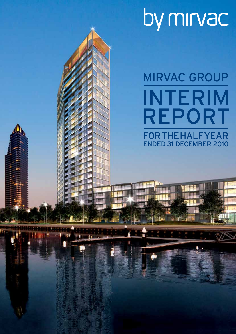# by mirvac

MIRVAC GROUP **FOR THE HALF YEAR** ended 31 December 2010 Interim Report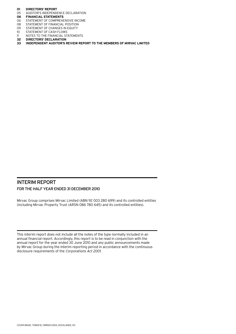- **01 Directors' report**
- 05 AUDITOR'S INDEPENDENCE DECLARATION<br>**06 FINANCIAL STATEMENTS**
- **06 Financial statements**
- 06 STATEMENT OF COMPREHENSIVE INCOME<br>08 STATEMENT OF FINANCIAL POSITION
- 08 STATEMENT OF FINANCIAL POSITION<br>09 STATEMENT OF CHANGES IN EQUITY
- STATEMENT OF CHANGES IN EQUITY
- 10 STATEMENT OF CASH FLOWS<br>11 NOTES TO THE FINANCIAL ST
- 11 NOTES TO THE FINANCIAL STATEMENTS<br>32 DIRECTORS' DECLARATION
- **32 Directors' declaration**
- **33 Independent auditor's review report to the members of Mirvac Limited**

# Interim Report For the half year ended 31 December 2010

Mirvac Group comprises Mirvac Limited (ABN 92 003 280 699) and its controlled entities (including Mirvac Property Trust (ARSN 086 780 645) and its controlled entities).

This interim report does not include all the notes of the type normally included in an annual financial report. Accordingly, this report is to be read in conjunction with the annual report for the year ended 30 June 2010 and any public announcements made by Mirvac Group during the interim reporting period in accordance with the continuous disclosure requirements of the Corporations Act 2001.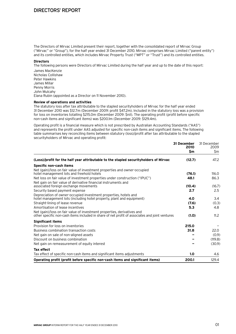# Directors' Report

The Directors of Mirvac Limited present their report, together with the consolidated report of Mirvac Group ("Mirvac" or "Group"), for the half year ended 31 December 2010. Mirvac comprises Mirvac Limited ("parent entity") and its controlled entities, which includes Mirvac Property Trust ("MPT" or "Trust") and its controlled entities.

# **Directors**

The following persons were Directors of Mirvac Limited during the half year and up to the date of this report: James MacKenzie Nicholas Collishaw Peter Hawkins James Millar Penny Morris John Mulcahy Elana Rubin (appointed as a Director on 11 November 2010).

# **Review of operations and activities**

The statutory loss after tax attributable to the stapled securityholders of Mirvac for the half year ended 31 December 2010 was \$12.7m (December 2009: profit \$47.2m). Included in the statutory loss was a provision for loss on inventories totalling \$215.0m (December 2009: \$nil). The operating profit (profit before specific non-cash items and significant items) was \$200.1m (December 2009: \$129.4m).

Operating profit is a financial measure which is not prescribed by Australian Accounting Standards ("AAS") and represents the profit under AAS adjusted for specific non-cash items and significant items. The following table summarises key reconciling items between statutory (loss)/profit after tax attributable to the stapled securityholders of Mirvac and operating profit:

|                                                                                                                                                                           | 31 December<br>2010 | 31 December<br>2009 |
|---------------------------------------------------------------------------------------------------------------------------------------------------------------------------|---------------------|---------------------|
|                                                                                                                                                                           | \$m                 | \$m                 |
| (Loss)/profit for the half year attributable to the stapled securityholders of Mirvac                                                                                     | (12.7)              | 47.2                |
| Specific non-cash items                                                                                                                                                   |                     |                     |
| Net (gain)/loss on fair value of investment properties and owner-occupied                                                                                                 |                     | 116.0               |
| hotel management lots and freehold hotels                                                                                                                                 | (76.1)<br>48.1      | 86.3                |
| Net loss on fair value of investment properties under construction ("IPUC")<br>Net gain on fair value of derivative financial instruments and                             |                     |                     |
| associated foreign exchange movements                                                                                                                                     | (10.4)              | (16.7)              |
| Security based payment expense                                                                                                                                            | 2.7                 | 2.5                 |
| Depreciation of owner-occupied investment properties, hotels and                                                                                                          |                     |                     |
| hotel management lots (including hotel property, plant and equipment)                                                                                                     | 4.0                 | 3.4                 |
| Straight-lining of lease revenue                                                                                                                                          | (7.6)               | (0.3)               |
| Amortisation of lease incentives                                                                                                                                          | 5.3                 | 4.8                 |
| Net (gain)/loss on fair value of investment properties, derivatives and<br>other specific non-cash items included in share of net profit of associates and joint ventures | (1.0)               | 11.2                |
| <b>Significant items</b>                                                                                                                                                  |                     |                     |
| Provision for loss on inventories                                                                                                                                         | 215.0               |                     |
| Business combination transaction costs                                                                                                                                    | 31.8                | 22.0                |
| Net gain on sale of non-aligned assets                                                                                                                                    |                     | (0.9)               |
| Discount on business combination                                                                                                                                          |                     | (119.8)             |
| Net gain on remeasurement of equity interest                                                                                                                              |                     | (30.9)              |
| <b>Tax effect</b>                                                                                                                                                         |                     |                     |
| Tax effect of specific non-cash items and significant items adjustments                                                                                                   | 1.0                 | 4.6                 |
| Operating profit (profit before specific non-cash items and significant items)                                                                                            | 200.1               | 129.4               |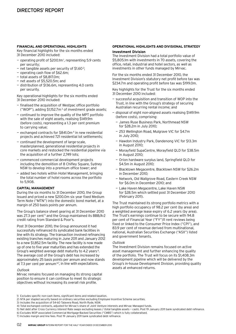# **FINANCIAL AND OPERATIONAL HIGHLIGHTS**

Key financial highlights for the six months ended 31 December 2010 included:

- operating profit of \$200.1m<sup>1</sup>, representing 5.9 cents per security;
- $-$  net tangible assets per security of \$1.60<sup>2</sup>;
- operating cash flow of \$62.6m;
- total assets of \$8,817.0m;
- net assets of \$5,520.5m; and
- distribution of \$136.6m, representing 4.0 cents per security.

Key operational highlights for the six months ended 31 December 2010 included:

- finalised the acquisition of Westpac office portfolio ("WOP"), adding  $$1,152.7m<sup>3</sup>$  of investment grade assets;
- $-$  continued to improve the quality of the MPT portfolio with the sale of eight assets, realising \$149.9m (before costs), representing a 1.3 per cent premium to carrying value;
- $-$  exchanged contracts for \$841.0m<sup>4</sup> in new residential projects and achieved 721 residential lot settlements;
- continued the development of large-scale, masterplanned, generational residential projects in core markets and restocked the residential pipeline via the acquisition of a further 2,749 lots;
- commenced commercial development projects including the demolition of 8 Chifley Square, Sydney NSW to develop into a premium office tower; and
- added two hotels within Hotel Management, bringing the total number of hotel rooms across the portfolio to 5,908.

# **CAPITAL MANAGEMENT**

During the six months to 31 December 2010, the Group issued and priced a new \$200.0m six year fixed Medium Term Note ("MTN") into the domestic bond market, at a margin of 250 basis points per annum.

The Group's balance sheet gearing at 31 December 2010 was 27.3 per cent<sup>5</sup> and the Group maintained its BBB/A-2 credit rating from Standard & Poor's.

Post 31 December 2010, the Group announced it had successfully refinanced its syndicated bank facilities in line with its strategy. The transaction involved refinancing existing tranches maturing in June 2011 and January 2012 to a new \$1,852.5m facility. The new facility is now made up of one to five year maturities and has extended the Group's weighted average debt maturity to 4.2 years<sup>6</sup>. The average cost of the Group's debt has increased by approximately 25 basis points per annum and now stands at 7.3 per cent per annum<sup> $67$ </sup>, in line with expectations.

# Outlook

Mirvac remains focused on managing its strong capital position to ensure it can continue to meet its strategic objectives without increasing its overall risk profile.

# **OPERATIONAL HIGHLIGHTS AND DIVISIONAL STRATEGY**

# **Investment Division**

The Investment Division had a total portfolio value of \$5,805.1m with investments in 70 assets, covering the office, retail, industrial and hotel sectors, as well as investments in other funds managed by Mirvac.

For the six months ended 31 December 2010, the Investment Division's statutory net profit before tax was \$234.7m and operating profit before tax was \$199.0m.

Key highlights for the Trust for the six months ended 31 December 2010 included:

- successful acquisition and transition of WOP into the Trust, in line with the Group's strategy of securing Australian recurring rental income; and
- disposal of eight non-aligned assets realising \$149.9m (before costs), comprising:
	- James Ruse Business Park, Northmead NSW for \$28.2m in July 2010;
- 253 Wellington Road, Mulgrave VIC for \$4.7m in July 2010;
- Hawdon Industry Park, Dandenong VIC for \$13.3m in August 2010;
- Morayfield SupaCentre, Morayfield QLD for \$38.5m in August 2010;
- Orion hardware surplus land, Springfield QLD for \$4.5m in August 2010;
- Blacktown Megacentre, Blacktown NSW for \$26.2m in December 2010;
- Network, Old Wallgrove Road, Eastern Creek NSW for \$6.0m in December 2010; and
- Lake Haven Megacentre, Lake Haven NSW for \$28.5m which settled post 31 December 2010 (February 2011).

The Trust maintained its strong portfolio metrics with a high portfolio occupancy of 98.2 per cent (by area) and a weighted average lease expiry of 6.2 years (by area). The Trust's earnings continue to be secure with 94.8 per cent of Financial Year ("FY")11 rent reviews being fixed or linked to the Consumer Price Index ("CPI"), and 83.9 per cent of revenue derived from multinational, national, Australian Securities Exchange ("ASX") listed and government tenants.

# Outlook

The Investment Division remains focused on active asset management and further enhancing the quality of the portfolio. The Trust will focus on its \$1,408.3m development pipeline which will be delivered by the Group's in-house Development Division, providing quality assets at enhanced returns.

2) NTA per stapled security based on ordinary securities excluding Employee Incentive Scheme securities.

6) Excludes WOP associated Commercial Mortgage-Backed Securities ("CMBS") which is fully collateralised.

<sup>1)</sup> Excludes specific non-cash items, significant items and related taxation.

<sup>3)</sup> Includes the acquisition of 54-60 Talavera Road, North Ryde, NSW.

<sup>4)</sup> Total exchanged contracts, adjusted for Mirvac's share of Joint Venture interests and Mirvac Managed funds.

<sup>5)</sup> Net debt after Cross Currency Interest Rate swaps excluding leases / (total tangible assets — cash). Post 19 January 2011 bank syndicated debt refinance.

<sup>7)</sup> Includes margin and line fees. Post 19 January 2011 bank syndicated debt refinance.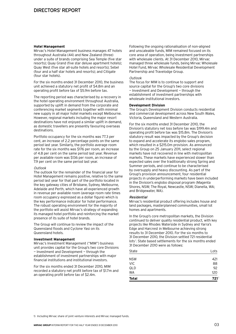# **Hotel Management**

Mirvac's Hotel Management business manages 47 hotels throughout Australia (44) and New Zealand (three) under a suite of brands comprising Sea Temple (five star resorts); Quay Grand (five star deluxe apartment hotels); Quay West (five star all-suite hotels and resorts); Sebel (four and a half star hotels and resorts); and Citigate (four star hotels).

For the six months ended 31 December 2010, the business unit achieved a statutory net profit of \$4.8m and an operating profit before tax of \$5.9m before tax.

The reporting period was characterised by a recovery in the hotel operating environment throughout Australia, supported by uplift in demand from the corporate and conferencing market segments together with minimal new supply in all major hotel markets except Melbourne. However, regional markets including the major resort destinations have not enjoyed a similar uplift in demand, as domestic travellers are presently favouring overseas destinations.

Portfolio occupancy for the six months was 77.3 per cent, an increase of 2.2 percentage points on the same period last year. Similarly, the portfolio average room rate for the six months was \$176 per room, an increase of 4.8 per cent on the same period last year. Revenue per available room was \$136 per room, an increase of 7.9 per cent on the same period last year.

#### Outlook

The outlook for the remainder of the financial year for Hotel Management remains positive, relative to the same period last year for that part of the portfolio located in the key gateway cities of Brisbane, Sydney, Melbourne, Adelaide and Perth, which have all experienced growth in revenue per available room (average room rate times room occupancy expressed as a dollar figure) which is the key performance indicator for hotel performance. The robust operating environment for the majority of the portfolio will assist Mirvac's strategy of expanding its managed hotel portfolio and reinforcing the market presence of its suite of hotel brands.

The Group will continue to review the impact of the Queensland floods and Cyclone Yasi on its Queensland hotels.

# **Investment Management**

Mirvac's Investment Management ("MIM") business unit provides capital for the Group's two core Divisions — Investment and Development — through the establishment of investment partnerships with major financial institutions and institutional investors.

For the six months ended 31 December 2010, MIM recorded a statutory net profit before tax of \$1.7m and an operating profit before tax of \$2.4m.

Following the ongoing rationalisation of non-aligned and unscaleable funds, MIM remained focused on its core area of operation, being investment partnerships with wholesale clients. At 31 December 2010, Mirvac managed three wholesale funds, being Mirvac Wholesale Hotel Fund, Mirvac Wholesale Residential Development Partnership and Travelodge Group.

# **Outlook**

The focus for MIM is to continue to support and source capital for the Group's two core divisions — Investment and Development — through the establishment of investment partnerships with wholesale institutional investors.

# **Development Division**

The Group's Development Division conducts residential and commercial development across New South Wales, Victoria, Queensland and Western Australia.

For the six months ended 31 December 2010, the Division's statutory net loss before tax was \$199.4m and operating profit before tax was \$15.8m. The Division's statutory result was impacted by the Group's decision to expand and accelerate its englobo sales program, which resulted in a \$215.0m provision. As announced by the Group on 25 January 2011, select regional markets have not recovered in line with metropolitan markets. These markets have experienced slower than expected sales over the traditionally strong Spring and Summer periods, and continue to be characterised by oversupply and heavy discounting. As part of the Group's provision announcement, four residential projects in underperforming markets have been included in the Division's englobo disposal program (Magenta Shores, NSW; The Royal, Newcastle, NSW; Dianella, WA; and Bridgewater, WA).

#### Residential

Mirvac's residential product offering includes house and land packages, masterplanned communities, small lot homes and apartments.

In the Group's core metropolitan markets, the Division continued to deliver quality residential product, with key projects like Rhodes Waterside in Sydney and Yarra's Edge and Harcrest in Melbourne achieving strong results to 31 December 2010. For the six months to 31 December 2010, the Division settled 721 residential lots<sup>1</sup>. State based settlements for the six months ended 31 December 2010 were as follows:

| <b>Total</b> | 721  |
|--------------|------|
| WA           | 120  |
| QLD          | 92   |
| <b>VIC</b>   | 88   |
| <b>NSW</b>   | 421  |
| State        | Lots |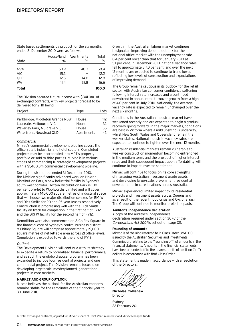State based settlements by product for the six months ended 31 December 2010 were as follows:

| State        | House/land<br>$\%$ | Apartments<br>$\%$ | Total<br>% |
|--------------|--------------------|--------------------|------------|
| <b>NSW</b>   | 60.9               | 48.3               | 58.4       |
| <b>VIC</b>   | 15.2               |                    | 12.2       |
| QLD          | 12.5               | 14.0               | 12.8       |
| <b>WA</b>    | 11.4               | 37.8               | 16.6       |
| <b>Total</b> |                    |                    | 100.0      |

The Division secured future income with \$841.0m<sup>1</sup> of exchanged contracts, with key projects forecast to be delivered for 2H11 being:

| Project                          | Type       | Lots. |
|----------------------------------|------------|-------|
| Parkbridge, Middleton Grange NSW | House      | 112   |
| Laureate, Melbourne VIC          | House      | 32.   |
| Waverley Park, Mulgrave VIC      | House      | 35.   |
| Waterfront, Newstead QLD         | Apartments | 42    |

# Commercial

Mirvac's commercial development pipeline covers the office, retail, industrial and hotel sectors. Completed projects may be incorporated into MPT's property portfolio or sold to third parties. Mirvac is in various stages of commencing 10 strategic development projects with a \$1,408.3m commercial development pipeline.

During the six months ended 31 December 2010, the Division significantly advanced work on Hoxton Distribution Park, a new industrial facility in Sydney's south west corridor. Hoxton Distribution Park is 100 per cent pre-let to Woolworths Limited and will cover approximately 140,000 square metres of industrial space that will house two major distribution centres for BIG W and Dick Smith for 20 and 25 year leases respectively. Construction is progressing well with the Dick Smith facility on track for completion in the first half of FY12 and the BIG W facility for the second half of FY12.

Demolition work also commenced on 8 Chifley Square in the financial core of Sydney's central business district. 8 Chifley Square will comprise approximately 19,000 square metres of net lettable area across 21 office levels. Completion is expected towards the end of FY13.

# Outlook

The Development Division will continue with its strategy to expedite a return to normalised financial performance, and as such the englobo disposal program has been expanded to include four residential projects and one commercial project. The Division remains focused on developing large-scale, masterplanned, generational projects in core markets.

# **MARKET AND GROUP OUTLOOK**

Mirvac believes the outlook for the Australian economy remains stable for the remainder of the financial year to 30 June 2011.

Growth in the Australian labour market continues to signal an improving demand outlook for the national office market with the unemployment rate 0.4 per cent lower than that for January 2010 at 5.1 per cent. In December 2010, national vacancy rates fell to approximately 7.0 per cent, and over the next 12 months are expected to continue to trend lower, reflecting low levels of construction and expectations of improving demand.

The Group remains cautious in its outlook for the retail sector, with Australian consumer confidence softening following interest rate increases and a continued downtrend in annual retail turnover growth from a high of 4.0 per cent in July 2010. Nationally, the average vacancy rate is expected to remain unchanged over the next six months.

Conditions in the Australian industrial market have weakened recently and are expected to begin a gradual recovery going forward. In the major markets, conditions are best in Victoria where a mild upswing is underway, whilst New South Wales and Queensland remain the weaker states. National industrial vacancy rates are expected to continue to tighten over the next 12 months.

Australian residential markets remain vulnerable to weaker construction momentum becoming entrenched in the medium term, and the prospect of higher interest rates and their subsequent impact upon affordability will continue to impact investor sentiment.

Mirvac will continue to focus on its core strengths of managing Australian investment grade assets and developing large-scale, pre-eminent residential developments in core locations across Australia.

Mirvac experienced limited impact to its residential projects and investment assets across Queensland as a result of the recent flood crisis and Cyclone Yasi. The Group will continue to monitor project impacts.

# **Auditor's independence declaration**

A copy of the auditor's independence declaration required under section 307C of the Corporations Act 2001 is set out on page 05.

# **Rounding of amounts**

Mirvac is of the kind referred to in Class Order 98/0100 issued by the Australian Securities and Investments Commission, relating to the "rounding off" of amounts in the financial statements. Amounts in the financial statements have been rounded off to the nearest tenth of a million ("m") dollars in accordance with that Class Order.

This statement is made in accordance with a resolution of the Directors.

**Nicholas Collishaw** Director

Sydney 22 February 2011

1) Total exchanged contracts, adjusted for Mirvac's share of Joint Venture interest and Mirvac Managed funds.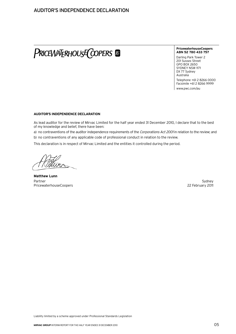# PRICEWATERHOUSE COPERS &

#### **PricewaterhouseCoopers ABN 52 780 433 757**

Darling Park Tower 2 201 Sussex Street GPO BOX 2650 SYDNEY NSW 1171 DX 77 Sydney Australia

Telephone +61 2 8266 0000 Facsimile +61 2 8266 9999 www.pwc.com/au

# **Auditor's independence declaration**

As lead auditor for the review of Mirvac Limited for the half year ended 31 December 2010, I declare that to the best of my knowledge and belief, there have been:

a) no contraventions of the auditor independence requirements of the Corporations Act 2001 in relation to the review; and

b) no contraventions of any applicable code of professional conduct in relation to the review.

This declaration is in respect of Mirvac Limited and the entities it controlled during the period.

**Matthew Lunn** Partner Sydney PricewaterhouseCoopers **22 February 2011** 22 February 2011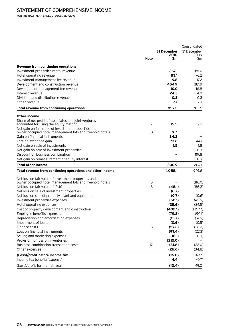For the half year ended 31 December 2010

|                                                           |      |             | Consolidated<br>31 December |
|-----------------------------------------------------------|------|-------------|-----------------------------|
|                                                           |      | 31 December |                             |
|                                                           | Note | 2010<br>Sm  | 2009<br>Sm                  |
| Revenue from continuing operations                        |      |             |                             |
| Investment properties rental revenue                      |      | 267.1       | 181.0                       |
| Hotel operating revenue                                   |      | 83.1        | 76.2                        |
| Investment management fee revenue                         |      | 9.8         | 17.2                        |
| Development and construction revenue                      |      | 454.9       | 381.9                       |
| Development management fee revenue                        |      | 10.0        | 16.8                        |
| Interest revenue                                          |      | 24.3        | 24.0                        |
| Dividend and distribution revenue                         |      | 0.3         | 0.3                         |
| Other revenue                                             |      | 7.7         | 6.1                         |
| Total revenue from continuing operations                  |      | 857.2       | 703.5                       |
| Other income                                              |      |             |                             |
| Share of net profit of associates and joint ventures      |      |             |                             |
| accounted for using the equity method                     | 7    | 15.5        | 7.2                         |
| Net gain on fair value of investment properties and       |      |             |                             |
| owner-occupied hotel management lots and freehold hotels  | 8    | 76.1        |                             |
| Gain on financial instruments                             |      | 34.2        |                             |
| Foreign exchange gain                                     |      | 73.6        | 44.1                        |
| Net gain on sale of investments                           |      | 1.5         | 1.8                         |
| Net gain on sale of investment properties                 |      |             | 0.3                         |
| Discount on business combination                          |      |             | 119.8                       |
| Net gain on remeasurement of equity interest              |      |             | 30.9                        |
| Total other income                                        |      | 200.9       | 204.1                       |
| Total revenue from continuing operations and other income |      | 1,058.1     | 907.6                       |
| Net loss on fair value of investment properties and       |      |             |                             |
| owner-occupied hotel management lots and freehold hotels  | 8    |             | (116.0)                     |
| Net loss on fair value of IPUC                            | 8    | (48.1)      | (86.3)                      |
| Net loss on sale of investment properties                 |      | (0.7)       |                             |
| Net loss on sale of property, plant and equipment         |      | (0.7)       | (0.6)                       |
| Investment properties expenses                            |      | (58.1)      | (45.9)                      |
| Hotel operating expenses                                  |      | (25.6)      | (24.5)                      |
| Cost of property development and construction             |      | (402.1)     | (357.7)                     |
| Employee benefits expenses                                |      | (79.2)      | (90.1)                      |
| Depreciation and amortisation expenses                    |      | (15.7)      | (14.9)                      |
| Impairment of loans                                       |      | (0.6)       | (0.5)                       |
| Finance costs                                             | 5    | (57.2)      | (26.2)                      |
| Loss on financial instruments                             |      | (97.4)      | (27.3)                      |
| Selling and marketing expenses                            |      | (16.1)      | (11.1)                      |
| Provision for loss on inventories                         |      | (215.0)     |                             |
| Business combination transaction costs                    | 17   | (31.8)      | (22.0)                      |
| Other expenses                                            |      | (26.6)      | (34.8)                      |
| (Loss)/profit before income tax                           |      | (16.8)      | 49.7                        |
| Income tax benefit/(expense)                              |      | 4.4         | (0.7)                       |
| (Loss)/profit for the half year                           |      | (12.4)      | 49.0                        |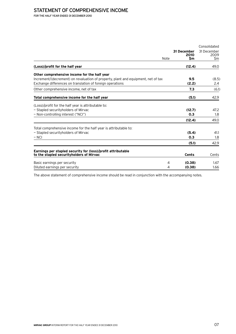# STATEMENT OF COMPREHENSIVE INCOME

For the half year ended 31 December 2010

|                                                                                                                                                |      |                     | Consolidated        |
|------------------------------------------------------------------------------------------------------------------------------------------------|------|---------------------|---------------------|
|                                                                                                                                                |      | 31 December<br>2010 | 31 December<br>2009 |
|                                                                                                                                                | Note | \$m                 | \$m                 |
| (Loss)/profit for the half year                                                                                                                |      | (12.4)              | 49.0                |
| Other comprehensive income for the half year                                                                                                   |      |                     |                     |
| Increment/(decrement) on revaluation of property, plant and equipment, net of tax<br>Exchange differences on translation of foreign operations |      | 9.5<br>(2.2)        | (8.5)<br>2.4        |
| Other comprehensive income, net of tax                                                                                                         |      | 7.3                 | (6.1)               |
| Total comprehensive income for the half year                                                                                                   |      | (5.1)               | 42.9                |
| (Loss)/profit for the half year is attributable to:                                                                                            |      |                     |                     |
| - Stapled securityholders of Mirvac<br>- Non-controlling interest ("NCI")                                                                      |      | (12.7)<br>0.3       | 47.2<br>1.8         |
|                                                                                                                                                |      | (12.4)              | 49.0                |
| Total comprehensive income for the half year is attributable to:                                                                               |      |                     |                     |
| - Stapled securityholders of Mirvac<br>$-$ NCI                                                                                                 |      | (5.4)<br>0.3        | 41.1<br>1.8         |
|                                                                                                                                                |      | (5.1)               | 42.9                |
| Earnings per stapled security for (loss)/profit attributable                                                                                   |      |                     |                     |
| to the stapled securityholders of Mirvac                                                                                                       |      | <b>Cents</b>        | Cents               |
| Basic earnings per security                                                                                                                    | 4    | (0.38)              | 1.67                |
| Diluted earnings per security                                                                                                                  | 4    | (0.38)              | 1.66                |

The above statement of comprehensive income should be read in conjunction with the accompanying notes.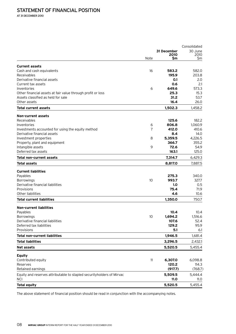At 31 December 2010

|                                                                       |                |             | Consolidated |  |
|-----------------------------------------------------------------------|----------------|-------------|--------------|--|
|                                                                       |                | 31 December | 30 June      |  |
|                                                                       | Note           | 2010<br>\$m | 2010<br>\$m  |  |
|                                                                       |                |             |              |  |
| <b>Current assets</b>                                                 |                |             |              |  |
| Cash and cash equivalents                                             | 16             | 583.2       | 582.0        |  |
| Receivables                                                           |                | 195.9       | 203.8        |  |
| Derivative financial assets                                           |                | O.1         | 2.0          |  |
| Current tax assets                                                    |                | 0.6         | 2.1          |  |
| Inventories                                                           | 6              | 649.6       | 573.3        |  |
| Other financial assets at fair value through profit or loss           |                | 25.3        | 15.3         |  |
| Assets classified as held for sale                                    |                | 31.2        | 53.7         |  |
| Other assets                                                          |                | 16.4        | 26.0         |  |
| <b>Total current assets</b>                                           |                | 1,502.3     | 1,458.2      |  |
| <b>Non-current assets</b>                                             |                |             |              |  |
| Receivables                                                           |                | 125.6       | 182.2        |  |
| Inventories                                                           | 6              | 806.8       | 1,060.9      |  |
| Investments accounted for using the equity method                     | $\overline{7}$ | 412.0       | 410.6        |  |
| Derivative financial assets                                           |                | 8.4         | 14.0         |  |
| Investment properties                                                 | 8              | 5,359.5     | 4,226.5      |  |
| Property, plant and equipment                                         |                | 366.7       | 355.2        |  |
| Intangible assets                                                     | 9              | 72.6        | 54.9         |  |
| Deferred tax assets                                                   |                | 163.1       | 125.0        |  |
|                                                                       |                |             |              |  |
| Total non-current assets                                              |                | 7,314.7     | 6,429.3      |  |
| Total assets                                                          |                | 8,817.0     | 7,887.5      |  |
| <b>Current liabilities</b>                                            |                |             |              |  |
| Payables                                                              |                | 275.3       | 340.0        |  |
| <b>Borrowings</b>                                                     | 10             | 993.7       | 327.7        |  |
| Derivative financial liabilities                                      |                | 1.0         | 0.5          |  |
| Provisions                                                            |                | 75.4        | 71.9         |  |
| <b>Other liabilities</b>                                              |                | 4.6         | 10.6         |  |
| Total current liabilities                                             |                | 1,350.0     | 750.7        |  |
| <b>Non-current liabilities</b>                                        |                |             |              |  |
| Payables                                                              |                | 10.4        | 10.4         |  |
| <b>Borrowings</b>                                                     | 10             | 1,694.2     | 1,516.6      |  |
| Derivative financial liabilities                                      |                | 107.6       | 52.4         |  |
| Deferred tax liabilities                                              |                | 129.2       | 95.9         |  |
| Provisions                                                            |                | 5.1         | 6.1          |  |
| <b>Total non-current liabilities</b>                                  |                | 1,946.5     | 1,681.4      |  |
| <b>Total liabilities</b>                                              |                | 3,296.5     | 2,432.1      |  |
| <b>Net assets</b>                                                     |                | 5,520.5     | 5,455.4      |  |
|                                                                       |                |             |              |  |
| <b>Equity</b><br>Contributed equity                                   | 11             | 6,307.0     | 6,098.8      |  |
| Reserves                                                              |                | 120.2       | 114.3        |  |
| Retained earnings                                                     |                | (917.7)     | (768.7)      |  |
|                                                                       |                |             |              |  |
| Equity and reserves attributable to stapled securityholders of Mirvac |                | 5,509.5     | 5,444.4      |  |
| <b>NCI</b>                                                            |                | 11.0        | 11.0         |  |
| <b>Total equity</b>                                                   |                | 5,520.5     | 5,455.4      |  |

The above statement of financial position should be read in conjunction with the accompanying notes.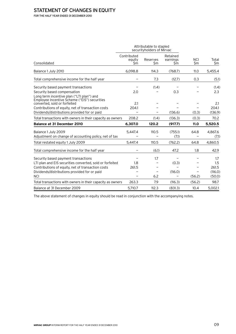# STATEMENT OF CHANGES IN EQUITY

For the half year ended 31 December 2010

|                                                                                                                                                                                                                    | Attributable to stapled<br>securityholders of Mirvac |                 |                             |                   |                                          |
|--------------------------------------------------------------------------------------------------------------------------------------------------------------------------------------------------------------------|------------------------------------------------------|-----------------|-----------------------------|-------------------|------------------------------------------|
| Consolidated                                                                                                                                                                                                       | Contributed<br>equity<br>Sm                          | Reserves<br>\$m | Retained<br>earnings<br>\$m | <b>NCI</b><br>\$m | Total<br>\$m                             |
| Balance 1 July 2010                                                                                                                                                                                                | 6,098.8                                              | 114.3           | (768.7)                     | 11.0              | 5,455.4                                  |
| Total comprehensive income for the half year                                                                                                                                                                       |                                                      | 7.3             | (12.7)                      | 0.3               | (5.1)                                    |
| Security based payment transactions<br>Security based compensation<br>Long term incentive plan ("LTI plan") and                                                                                                    | 2.0                                                  | (1.4)           | 0.3                         |                   | (1.4)<br>2.3                             |
| Employee Incentive Scheme ("EIS") securities<br>converted, sold or forfeited<br>Contributions of equity, net of transaction costs<br>Dividends/distributions provided for or paid                                  | 2.1<br>204.1                                         |                 | (136.6)                     | (0.3)             | 2.1<br>204.1<br>(136.9)                  |
| Total transactions with owners in their capacity as owners                                                                                                                                                         | 208.2                                                | (1.4)           | (136.3)                     | (0.3)             | 70.2                                     |
| <b>Balance at 31 December 2010</b>                                                                                                                                                                                 | 6,307.0                                              | 120.2           | (917.7)                     | 11.0              | 5,520.5                                  |
| Balance 1 July 2009<br>Adjustment on change of accounting policy, net of tax                                                                                                                                       | 5,447.4                                              | 110.5           | (755.1)<br>(7.1)            | 64.8              | 4.867.6<br>(7.1)                         |
| Total restated equity 1 July 2009                                                                                                                                                                                  | 5.447.4                                              | 110.5           | (762.2)                     | 64.8              | 4,860.5                                  |
| Total comprehensive income for the half year                                                                                                                                                                       |                                                      | (6.1)           | 47.2                        | 1.8               | 42.9                                     |
| Security based payment transactions<br>LTI plan and EIS securities converted, sold or forfeited<br>Contributions of equity, net of transaction costs<br>Dividends/distributions provided for or paid<br><b>NCI</b> | 1.8<br>261.5                                         | 1.7<br>6.2      | (0.3)<br>(116.0)            | (56.2)            | 1.7<br>1.5<br>261.5<br>(116.0)<br>(50.0) |
| Total transactions with owners in their capacity as owners                                                                                                                                                         | 263.3                                                | 7.9             | (116.3)                     | (56.2)            | 98.7                                     |
| Balance at 31 December 2009                                                                                                                                                                                        | 5,710.7                                              | 112.3           | (831.3)                     | 10.4              | 5,002.1                                  |

The above statement of changes in equity should be read in conjunction with the accompanying notes.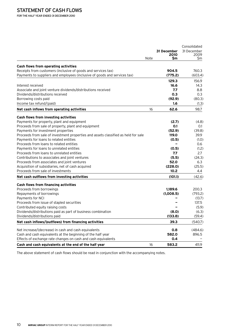For the half year ended 31 December 2010

|                                                                                    |      |             | Consolidated |  |
|------------------------------------------------------------------------------------|------|-------------|--------------|--|
|                                                                                    |      | 31 December | 31 December  |  |
|                                                                                    | Note | 2010<br>Sm  | 2009<br>Sm   |  |
|                                                                                    |      |             |              |  |
| <b>Cash flows from operating activities</b>                                        |      |             |              |  |
| Receipts from customers (inclusive of goods and services tax)                      |      | 904.5       | 760.3        |  |
| Payments to suppliers and employees (inclusive of goods and services tax)          |      | (775.2)     | (603.4)      |  |
|                                                                                    |      | 129.3       | 156.9        |  |
| Interest received                                                                  |      | 16.6        | 14.3         |  |
| Associate and joint venture dividends/distributions received                       |      | 7.7         | 8.8          |  |
| Dividends/distributions received                                                   |      | 0.3         | 0.3          |  |
| Borrowing costs paid                                                               |      | (92.9)      | (80.3)       |  |
| Income tax refund/(paid)                                                           |      | 1.6         | (1.3)        |  |
| Net cash inflows from operating activities                                         | 16   | 62.6        | 98.7         |  |
| Cash flows from investing activities                                               |      |             |              |  |
| Payments for property, plant and equipment                                         |      | (2.7)       | (4.8)        |  |
| Proceeds from sale of property, plant and equipment                                |      | 0.1         | 0.1          |  |
| Payments for investment properties                                                 |      | (52.9)      | (39.8)       |  |
| Proceeds from sale of investment properties and assets classified as held for sale |      | 119.0       | 39.9         |  |
| Payments for loans to related entities                                             |      | (0.5)       | (1.0)        |  |
| Proceeds from loans to related entities                                            |      |             | 0.6          |  |
| Payments for loans to unrelated entities                                           |      | (0.5)       | (1.2)        |  |
| Proceeds from loans to unrelated entities                                          |      | 7.7         | 2.7          |  |
| Contributions to associates and joint ventures                                     |      | (5.5)       | (24.3)       |  |
| Proceeds from associates and joint ventures                                        |      | 52.0        | 6.3          |  |
| Acquisition of subsidiaries, net of cash acquired                                  |      | (228.0)     | (25.5)       |  |
| Proceeds from sale of investments                                                  |      | 10.2        | 4.4          |  |
| Net cash outflows from investing activities                                        |      | (101.1)     | (42.6)       |  |
| Cash flows from financing activities                                               |      |             |              |  |
| Proceeds from borrowings                                                           |      | 1,189.6     | 200.3        |  |
| Repayments of borrowings                                                           |      | (1,008.5)   | (793.2)      |  |
| Payments for NCI                                                                   |      |             | (13.7)       |  |
| Proceeds from issue of stapled securities                                          |      |             | 137.5        |  |
| Contributed equity raising costs                                                   |      |             | (5.9)        |  |
| Dividends/distributions paid as part of business combination                       |      | (8.0)       | (6.3)        |  |
| Dividends/distributions paid                                                       |      | (133.8)     | (59.4)       |  |
| Net cash inflows/(outflows) from financing activities                              |      | 39.3        | (540.7)      |  |
|                                                                                    |      |             |              |  |
| Net increase/(decrease) in cash and cash equivalents                               |      | 0.8         | (484.6)      |  |
| Cash and cash equivalents at the beginning of the half year                        |      | 582.0       | 896.5        |  |
| Effects of exchange rate changes on cash and cash equivalents                      |      | 0.4         |              |  |
| Cash and cash equivalents at the end of the half year                              | 16   | 583.2       | 411.9        |  |

The above statement of cash flows should be read in conjunction with the accompanying notes.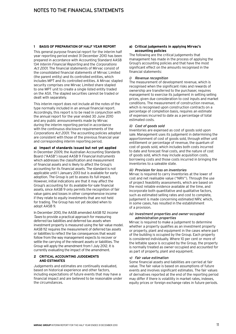# **1 Basis of preparation of half year report**

This general purpose financial report for the interim half year reporting period ended 31 December 2010 has been prepared in accordance with Accounting Standard AASB 134 Interim Financial Reporting and the Corporations Act 2001. The financial statements of Mirvac consist of the consolidated financial statements of Mirvac Limited (the parent entity) and its controlled entities, which includes MPT and its controlled entities. A Mirvac stapled security comprises one Mirvac Limited share stapled to one MPT unit to create a single listed entity traded on the ASX. The stapled securities cannot be traded or dealt with separately.

This interim report does not include all the notes of the type normally included in an annual financial report. Accordingly, this report is to be read in conjunction with the annual report for the year ended 30 June 2010 and any public announcements made by Mirvac during the interim reporting period in accordance with the continuous disclosure requirements of the Corporations Act 2001. The accounting policies adopted are consistent with those of the previous financial year and corresponding interim reporting period.

# **a) Impact of standards issued but not yet applied**

In December 2009, the Australian Accounting Standards Board ("AASB") issued AASB 9 Financial Instruments which addresses the classification and measurement of financial assets and is likely to affect the Group's accounting for its financial assets. The standard is not applicable until 1 January 2013 but is available for early adoption. The Group is yet to assess its full impact. However, initial indications are that it may affect the Group's accounting for its available-for-sale financial assets, since AASB 9 only permits the recognition of fair value gains and losses in other comprehensive income if they relate to equity investments that are not held for trading. The Group has not yet decided when to adopt AASB 9.

In December 2010, the AASB amended AASB 112 Income Taxes to provide a practical approach for measuring deferred tax liabilities and deferred tax assets when investment property is measured using the fair value model. AASB 112 requires the measurement of deferred tax assets or liabilities to reflect the tax consequences that would follow from the way management expects to recover or settle the carrying of the relevant assets or liabilities. The Group will apply the amendment from 1 July 2012. It is currently evaluating the impact of the amendment.

# **2 Critical accounting judgements and estimates**

Judgements and estimates are continually evaluated, based on historical experience and other factors, including expectations of future events that may have a financial impact and are believed to be reasonable under the circumstances.

# **a) Critical judgements in applying Mirvac's accounting policies**

The following are the critical judgements that management has made in the process of applying the Group's accounting policies and that have the most significant effect on the amounts recognised in the financial statements:

# i) Revenue recognition

The measurement of development revenue, which is recognised when the significant risks and rewards of ownership are transferred to the purchaser, requires management to exercise its judgement in setting selling prices, given due consideration to cost inputs and market conditions. The measurement of construction revenue, which is recognised upon construction contracts on a percentage of completion basis, requires an estimate of expenses incurred to date as a percentage of total estimated costs.

# ii) Cost of goods sold

Inventories are expensed as cost of goods sold upon sale. Management uses its judgement in determining the apportionment of cost of goods sold, through either unit entitlement or percentage of revenue, the quantum of cost of goods sold, which includes both costs incurred to date and forecast final costs, and the nature of cost of goods sold, which may include acquisition costs, borrowing costs and those costs incurred in bringing the inventories to a saleable state.

# iii) Provision for loss on inventories

Mirvac is required to carry inventories at the lower of cost and net realisable value ("NRV"). Through the use of project feasibility assessments, which are based on the most reliable evidence available at the time, and incorporate both quantitative and qualitative factors, such as estimated selling rates and cost to complete, judgement is made concerning estimated NRV, which, in some cases, has resulted in the establishment of a provision.

# iv) Investment properties and owner-occupied administration properties

Mirvac is required to make a judgement to determine whether a property qualifies as an investment property or property, plant and equipment in the cases where part of the building is occupied by the Group. Each property is considered individually. Where 10 per cent or more of the lettable space is occupied by the Group, the property is normally treated as owner-occupied and accounted for as part of property, plant and equipment.

# v) Fair value estimation

Some financial assets and liabilities are carried at fair value. The fair value is based on assumptions of future events and involves significant estimates. The fair values of derivatives reported at the end of the reporting period may differ if there is volatility in market rates, indexes, equity prices or foreign exchange rates in future periods.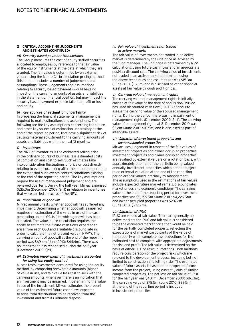# **2 Critical accounting judgements and estimates (Continued)**

# vi) Security based payment transactions

The Group measures the cost of equity settled securities allocated to employees by reference to the fair value of the equity instruments at the date at which they are granted. The fair value is determined by an external valuer using the Monte Carlo simulation pricing method; this method includes a number of judgements and assumptions. These judgements and assumptions relating to security based payments would have no impact on the carrying amounts of assets and liabilities in the statement of financial position, but may impact the security based payment expense taken to profit or loss and equity.

# **b) Key sources of estimation uncertainty**

In preparing the financial statements, management is required to make estimations and assumptions. The following are the key assumptions concerning the future, and other key sources of estimation uncertainty at the end of the reporting period, that have a significant risk of causing material adjustment to the carrying amounts of assets and liabilities within the next 12 months:

#### i) Inventories

The NRV of inventories is the estimated selling price in the ordinary course of business less estimated costs of completion and cost to sell. Such estimates take into consideration fluctuations of price or cost directly relating to events occurring after the end of the period to the extent that such events confirm conditions existing at the end of the reporting period. The key assumptions require the use of management judgement and are reviewed quarterly. During the half year, Mirvac expensed \$215.0m (December 2009: \$nil) in relation to inventories that were carried in excess of the NRV.

# ii) Impairment of goodwill

Mirvac annually tests whether goodwill has suffered any impairment. Determining whether goodwill is impaired requires an estimation of the value in use of the cash generating units ("CGUs") to which goodwill has been allocated. The value in use calculation requires the entity to estimate the future cash flows expected to arise from each CGU and a suitable discount rate in order to calculate the net present value ("NPV"). The carrying amount of goodwill at the end of the reporting period was \$69.4m (June 2010: \$44.4m). There was no impairment loss recognised during the half year (December 2009: \$nil).

#### iii) Estimated impairment of investments accounted for using the equity method

Mirvac tests investments accounted for using the equity method, by comparing recoverable amounts (higher of value in use, and fair value less cost to sell) with the carrying amounts, whenever there is an indication that an investment may be impaired. In determining the value in use of the investment, Mirvac estimates the present value of the estimated future cash flows expected to arise from distributions to be received from the investment and from its ultimate disposal.

# iv) Fair value of investments not traded in active markets

The fair value of investments not traded in an active market is determined by the unit price as advised by the fund manager. The unit price is determined by NPV calculations, using future cash flows and an appropriate post-tax discount rate. The carrying value of investments not traded in an active market determined using the above techniques and assumptions was \$15.3m (June 2010: \$15.3m) and is disclosed as other financial assets at fair value through profit or loss.

# v) Carrying value of management rights

The carrying value of management rights is initially carried at fair value at the date of acquisition. Mirvac has used discounted cash flow ("DCF") analysis to assess the carrying value of the acquired management rights. During the period, there was no impairment of management rights (December 2009: \$nil). The carrying value of management rights at 31 December 2010 was \$3.2m (June 2010: \$10.5m) and is disclosed as part of intangible assets.

#### vi) Valuation of investment properties and owner-occupied properties

Mirvac uses judgement in respect of the fair values of investment properties and owner-occupied properties. Investment properties and owner-occupied properties are revalued by external valuers on a rotation basis, with approximately one-half of the portfolio being valued annually. Investment properties which are not subject to an external valuation at the end of the reporting period are fair valued internally by management. The assumptions used in the estimations of fair values include expected future market rentals, discount rates, market prices and economic conditions. The carrying value at the end of the reporting period for investment properties was \$5,359.5m (June 2010: \$4,226.5m) and owner-occupied properties was \$287.2m (June 2010: \$272.7m).

# vii) Valuation of IPUC

IPUC are valued at fair value. There are generally no active markets for IPUC and fair value is considered to be the estimated market price that would be paid for the partially completed property, reflecting the expectations of market participants of the value of the property when complete less deductions for the estimated cost to complete with appropriate adjustments for risk and profit. The fair value is determined on the basis of either DCF or residual methods. Both methods require consideration of the project risks which are relevant to the development process, including but not limited to construction and letting risks. The estimated value of future assets is based on the expected future income from the project, using current yields of similar completed properties. The net loss on fair value of IPUC for the half year was \$48.1m (December 2009: \$86.3m). The carrying value of \$78.5m (June 2010: \$89.5m) at the end of the reporting period is included in investment properties.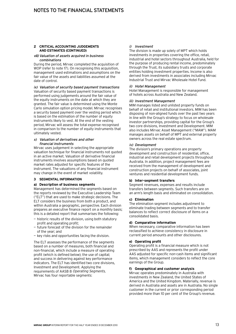# **2 Critical accounting judgements and estimates (Continued)**

# viii)Valuation of assets acquired in business combinations

During the period, Mirvac completed the acquisition of WOP (refer to note 17). On recognising this acquisition, management used estimations and assumptions on the fair value of the assets and liabilities assumed at the date of control.

ix) Valuation of security based payment transactions Valuation of security based payment transactions is performed using judgements around the fair value of the equity instruments on the date at which they are granted. The fair value is determined using the Monte Carlo simulation option pricing model. Mirvac recognises a security based payment over the vesting period which is based on the estimation of the number of equity instruments likely to vest. At the end of the vesting period, Mirvac will assess the total expense recognised in comparison to the number of equity instruments that ultimately vested.

# x) Valuation of derivatives and other financial instruments

Mirvac uses judgement in selecting the appropriate valuation technique for financial instruments not quoted in an active market. Valuation of derivative financial instruments involves assumptions based on quoted market rates adjusted for specific features of the instrument. The valuations of any financial instrument may change in the event of market volatility.

# **3 Segmental information**

# **a) Description of business segments**

Management has determined the segments based on the reports reviewed by the Executive Leadership Team ("ELT") that are used to make strategic decisions. The ELT considers the business from both a product, and within Australia a geographic, perspective. Each division prepares an executive finance report on a monthly basis; this is a detailed report that summarises the following:

- historic results of the division, using both statutory profit and operating profit;
- future forecast of the division for the remainder of the year; and
- key risks and opportunities facing the division.

The ELT assesses the performance of the segments based on a number of measures, both financial and non-financial, which include a measure of operating profit (which is defined below); the use of capital; and success in delivering against key performance indicators. The ELT has identified two core divisions, Investment and Development. Applying the requirements of AASB 8 Operating Segments, Mirvac has four reportable segments:

# i) Investment

The division is made up solely of MPT which holds investments in properties covering the office, retail, industrial and hotel sectors throughout Australia, held for the purpose of producing rental income, predominately through the Trust, its subsidiary trusts and corporate entities holding investment properties. Income is also derived from investments in associates including Mirvac Industrial Trust and Mirvac Wholesale Hotel Fund.

# ii) Hotel Management

Hotel Management is responsible for management of hotels across Australia and New Zealand.

# iii) Investment Management

MIM manages listed and unlisted property funds on behalf of retail and institutional investors. MIM has been disposing of non-aligned funds over the past two years in line with the Group's strategy to focus on wholesale investor partnerships, providing capital for the Group's two core divisions, Investment and Development. MIM also includes Mirvac Asset Management ("MAM"). MAM manages assets on behalf of MPT and external property owners across the real estate spectrum.

# iv) Development

The division's primary operations are property development and construction of residential, office, industrial and retail development projects throughout Australia. In addition, project management fees are received from the management of development and construction projects on behalf of associates, joint ventures and residential development funds.

# **b) Inter-segment transfers**

Segment revenues, expenses and results include transfers between segments. Such transfers are on an arm's length basis and eliminated on consolidation.

# **c) Elimination**

The elimination segment includes adjustment to eliminate trading between segments and to transfer balances to reflect correct disclosure of items on a consolidated basis.

# **d) Comparative information**

When necessary, comparative information has been reclassified to achieve consistency in disclosure in current period amounts and other disclosures.

# **e) Operating profit**

Operating profit is a financial measure which is not prescribed by AAS and represents the profit under AAS adjusted for specific non-cash items and significant items, which management considers to reflect the core earnings of the Group.

# **f) Geographical and customer analysis**

Mirvac operates predominately in Australia with investments in New Zealand, the United States of America and the United Kingdom. Materially, revenue is derived in Australia and assets are in Australia. No single customer in the current or prior corresponding period provided more than 10 per cent of the Group's revenue.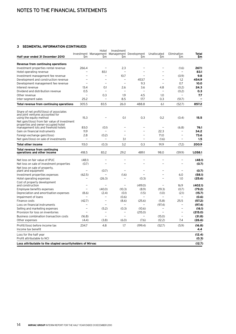# **3 Segmental information (continued)**

| Half year ended 31 December 2010                                                     | \$m                      | Hotel<br>Investment Management Management Development<br>\$m | Investment<br><b>Sm</b> | \$m                      | Unallocated<br>Sm        | Elimination<br>Sm        | Total<br>\$m             |
|--------------------------------------------------------------------------------------|--------------------------|--------------------------------------------------------------|-------------------------|--------------------------|--------------------------|--------------------------|--------------------------|
| Revenue from continuing operations                                                   |                          |                                                              |                         |                          |                          |                          |                          |
| Investment properties rental revenue                                                 | 266.4                    |                                                              | 2.3                     |                          |                          | (1.6)                    | 267.1                    |
| Hotel operating revenue                                                              |                          | 83.1                                                         | $\equiv$                | L.                       |                          |                          | 83.1                     |
| Investment management fee revenue                                                    |                          | $\overline{\phantom{0}}$                                     | 10.7                    | $\overline{\phantom{0}}$ |                          | (0.9)                    | 9.8                      |
| Development and construction revenue                                                 | $\overline{\phantom{0}}$ | $\sim$                                                       | $\equiv$                | 453.7                    | $\overline{\phantom{a}}$ | 1.2                      | 454.9                    |
| Development management fee revenue                                                   | $\overline{\phantom{0}}$ |                                                              | $\equiv$                | 9.3                      | $\overline{\phantom{a}}$ | 0.7                      | 10.0                     |
| Interest revenue                                                                     | 13.4                     | 0.1                                                          | 2.6                     | 3.6                      | 4.8                      | (0.2)                    | 24.3                     |
| Dividend and distribution revenue                                                    | 0.5                      |                                                              | $\equiv$                | $\overline{a}$           | $\overline{\phantom{a}}$ | (0.2)                    | 0.3                      |
| Other revenue                                                                        | $\overline{\phantom{0}}$ | 0.3                                                          | 1.9                     | 4.5                      | 1.0                      | $\overline{\phantom{0}}$ | 7.7                      |
| Inter-segment sales                                                                  | 25.2                     | $\equiv$                                                     | 8.5                     | 17.7                     | 0.3                      | (51.7)                   | $\overline{\phantom{0}}$ |
| Total revenue from continuing operations                                             | 305.5                    | 83.5                                                         | 26.0                    | 488.8                    | 6.1                      | (52.7)                   | 857.2                    |
| Share of net profit/(loss) of associates                                             |                          |                                                              |                         |                          |                          |                          |                          |
| and joint ventures accounted for<br>using the equity method                          | 15.3                     |                                                              | 0.1                     | 0.3                      | 0.2                      | (0.4)                    | 15.5                     |
| Net gain/(loss) from fair value of investment<br>properties and owner-occupied hotel |                          |                                                              |                         |                          |                          |                          |                          |
| management lots and freehold hotels<br>Gain on financial instruments                 | 83.0<br>11.9             | (0.1)                                                        |                         | -                        | 22.3                     | (6.8)                    | 76.1<br>34.2             |
|                                                                                      | 2.8                      |                                                              |                         | $\overline{\phantom{0}}$ | 71.0                     |                          | 73.6                     |
| Foreign exchange gain/(loss)<br>Net gain/(loss) on sale of investments               |                          | (0.2)                                                        | 3.1                     | -                        | (1.6)                    | -                        | 1.5                      |
|                                                                                      |                          |                                                              |                         |                          |                          |                          |                          |
| <b>Total other income</b>                                                            | 113.0                    | (0.3)                                                        | 3.2                     | 0.3                      | 91.9                     | (7.2)                    | 200.9                    |
| Total revenue from continuing<br>operations and other income                         | 418.5                    | 83.2                                                         | 29.2                    | 489.1                    | 98.0                     | (59.9)                   | 1,058.1                  |
| Net loss on fair value of IPUC                                                       | (48.1)                   |                                                              |                         | $\overline{\phantom{0}}$ |                          | $\overline{\phantom{0}}$ | (48.1)                   |
| Net loss on sale of investment properties                                            | (0.7)                    |                                                              |                         | $\overline{\phantom{0}}$ |                          |                          | (0.7)                    |
| Net loss on sale of property,                                                        |                          |                                                              |                         |                          |                          |                          |                          |
| plant and equipment                                                                  | ÷                        | (0.7)                                                        | $\equiv$                | L                        | ÷                        | $\equiv$                 | (0.7)                    |
| Investment properties expenses                                                       | (62.5)                   |                                                              | (1.6)                   | $\overline{\phantom{0}}$ |                          | 6.0                      | (58.1)                   |
| Hotel operating expenses                                                             | $\equiv$                 | (26.3)                                                       | $\equiv$                | (0.3)                    |                          | 1.0                      | (25.6)                   |
| Cost of property development<br>and construction                                     |                          |                                                              |                         | (419.0)                  |                          | 16.9                     | (402.1)                  |
| Employee benefits expenses                                                           | $\equiv$                 | (40.0)                                                       | (10.3)                  | (8.9)                    | (19.3)                   | (0.7)                    | (79.2)                   |
| Depreciation and amortisation expenses                                               | (8.6)                    | (2.4)                                                        | (0.1)                   | (1.5)                    | (1.0)                    | (2.1)                    | (15.7)                   |
| Impairment of loans                                                                  | $\equiv$                 | $\overline{\phantom{0}}$                                     | (0.6)                   | $\overline{\phantom{0}}$ | $\overline{\phantom{m}}$ | $\equiv$                 | (0.6)                    |
| Finance costs                                                                        | (42.7)                   | $\equiv$                                                     | (8.6)                   | (25.6)                   | (5.8)                    | 25.5                     | (57.2)                   |
| Loss on financial instruments                                                        |                          |                                                              | $\equiv$                |                          | (97.4)                   | $\overline{\phantom{0}}$ | (97.4)                   |
| Selling and marketing expenses                                                       | $\overline{\phantom{0}}$ | (5.2)                                                        | (0.3)                   | (10.6)                   | $\overline{\phantom{a}}$ | $\overline{\phantom{0}}$ | (16.1)                   |
| Provision for loss on inventories                                                    | $\overline{\phantom{0}}$ |                                                              | $\equiv$                | (215.0)                  | $\overline{\phantom{0}}$ | $\overline{\phantom{0}}$ | (215.0)                  |
| Business combination transaction costs                                               | (16.8)                   | $\equiv$                                                     | $\equiv$                | $\overline{\phantom{0}}$ | (15.0)                   | $\equiv$                 | (31.8)                   |
| Other expenses                                                                       | (4.4)                    | (3.8)                                                        | (6.0)                   | (7.6)                    | (12.2)                   | 7.4                      | (26.6)                   |
| Profit/(loss) before income tax                                                      | 234.7                    | 4.8                                                          | 1.7                     | (199.4)                  | (52.7)                   | (5.9)                    | (16.8)                   |
| Income tax benefit                                                                   |                          |                                                              |                         |                          |                          |                          | 4.4                      |
| Loss for the half year<br>Profit attributable to NCI                                 |                          |                                                              |                         |                          |                          |                          | (12.4)<br>(0.3)          |
| Loss attributable to the stapled securityholders of Mirvac                           |                          |                                                              |                         |                          |                          |                          | (12.7)                   |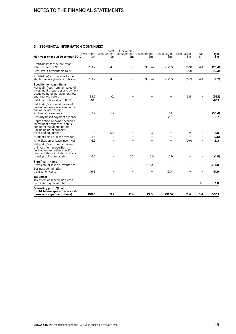# Notes to the financial statements

# **3 Segmental information (continued)**

| Half year ended 31 December 2010                                                                                                                           | \$m    | Hotel<br>\$m | Investment<br>Sm | Investment Management Management Development<br>Sm | Unallocated<br>\$m       | Elimination<br>\$m | Tax<br>\$m               | Total<br>\$m |
|------------------------------------------------------------------------------------------------------------------------------------------------------------|--------|--------------|------------------|----------------------------------------------------|--------------------------|--------------------|--------------------------|--------------|
| Profit/(loss) for the half year<br>after tax before NCI                                                                                                    | 234.7  | 4.8          | 1.7              | (199.4)                                            | (52.7)                   | (5.9)              | 4.4                      | (12.4)       |
| Less: Profit attributable to NCI                                                                                                                           |        |              | $\equiv$         | $\overline{\phantom{0}}$                           |                          | (0.3)              | $\overline{\phantom{0}}$ | (0.3)        |
| Profit/(loss) attributable to the<br>stapled securityholders of Mirvac                                                                                     | 234.7  | 4.8          | 1.7              | (199.4)                                            | (52.7)                   | (6.2)              | 4.4                      | (12.7)       |
| Specific non-cash items<br>Net (gain)/loss from fair value of<br>investment properties and owner-<br>occupied hotel management lots<br>and freehold hotels | (83.0) | 0.1          |                  |                                                    |                          | 6.8                |                          | (76.1)       |
| Net loss on fair value of IPUC                                                                                                                             | 48.1   |              |                  |                                                    |                          |                    |                          | 48.1         |
| Net (gain)/loss on fair value of<br>derivative financial instruments<br>and associated foreign<br>exchange movements                                       | (14.7) | 0.2          |                  |                                                    | 4.1                      |                    |                          | (10.4)       |
| Security based payment expense                                                                                                                             |        |              |                  |                                                    | 2.7                      |                    |                          | 2.7          |
| Depreciation of owner-occupied<br>investment properties, hotels<br>and hotel management lots<br>(including hotel property,<br>plant and equipment)         |        | 0.8          |                  | 0.3                                                |                          | 2.9                |                          | 4.0          |
| Straight-lining of lease revenue                                                                                                                           | (7.6)  |              |                  | $\overline{\phantom{0}}$                           | $\overline{\phantom{0}}$ |                    |                          | (7.6)        |
| Amortisation of lease incentives                                                                                                                           | 6.2    |              |                  |                                                    |                          | (0.9)              |                          | 5.3          |
| Net (gain)/loss from fair value<br>of investment properties,<br>derivatives and other specific<br>non-cash items included in share                         |        |              | 0.7              |                                                    |                          |                    |                          |              |
| of net profit of associates                                                                                                                                | (1.5)  |              |                  | (0.1)                                              | (0.1)                    |                    |                          | (1.0)        |
| <b>Significant items</b><br>Provision for loss on inventories                                                                                              | ۰      |              | -                | 215.0                                              |                          |                    | $\overline{\phantom{0}}$ | 215.0        |
| <b>Business combination</b><br>transaction costs                                                                                                           | 16.8   |              |                  |                                                    | 15.0                     |                    |                          | 31.8         |
| <b>Tax effect</b><br>Tax effect of specific non-cash<br>items and significant items                                                                        |        |              |                  |                                                    |                          |                    | 1.0                      | 1.0          |
| Operating profit/(loss)<br>(profit before specific non-cash<br>items and significant items)                                                                | 199.0  | 5.9          | 2.4              | 15.8                                               | (31.0)                   | 2.6                | 5.4                      | 200.1        |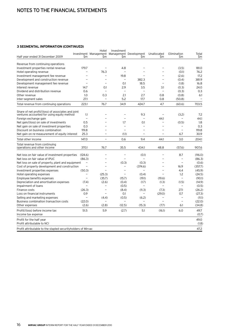# Notes to the financial statements

# **3 Segmental information (continued)**

|                                                                            |                          | Hotel<br>Investment Management Management Development | Investment               |                          | Unallocated              | Elimination              | Total             |
|----------------------------------------------------------------------------|--------------------------|-------------------------------------------------------|--------------------------|--------------------------|--------------------------|--------------------------|-------------------|
| Half year ended 31 December 2009                                           | \$m                      | \$m                                                   | \$m                      | \$m                      | \$m                      | Sm                       | \$m               |
|                                                                            |                          |                                                       |                          |                          |                          |                          |                   |
| Revenue from continuing operations<br>Investment properties rental revenue | 179.7                    |                                                       | 4.8                      |                          |                          | (3.5)                    | 181.0             |
| Hotel operating revenue                                                    | $\overline{\phantom{0}}$ | 76.3                                                  |                          | $\overline{\phantom{0}}$ | $\overline{\phantom{0}}$ | (0.1)                    | 76.2              |
| Investment management fee revenue                                          |                          |                                                       | 19.8                     |                          |                          | (2.6)                    | 17.2              |
| Development and construction revenue                                       | $\overline{\phantom{0}}$ | $\overline{\phantom{0}}$                              | $\overline{\phantom{a}}$ | 382.3                    | $\overline{\phantom{0}}$ | (0.4)                    | 381.9             |
| Development management fee revenue                                         | $\overline{\phantom{0}}$ | L.                                                    | 0.1                      | 18.5                     | $\overline{\phantom{0}}$ | (1.8)                    | 16.8              |
| Interest revenue                                                           | 14.7                     | 0.1                                                   | 2.9                      | 3.5                      | 3.1                      | (0.3)                    | 24.0              |
| Dividend and distribution revenue                                          | 0.6                      |                                                       | $\equiv$                 | $\overline{\phantom{a}}$ |                          | (0.3)                    | 0.3               |
| Other revenue                                                              | 1.0                      | 0.3                                                   | 2.1                      | 2.7                      | 0.8                      | (0.8)                    | 6.1               |
| Inter-segment sales                                                        | 27.1                     | $\overline{\phantom{a}}$                              | 5.2                      | 17.7                     | 0.8                      | (50.8)                   | $\qquad \qquad -$ |
| Total revenue from continuing operations                                   | 223.1                    | 76.7                                                  | 34.9                     | 424.7                    | 4.7                      | (60.6)                   | 703.5             |
| Share of net profit/(loss) of associates and joint                         |                          |                                                       |                          |                          |                          |                          |                   |
| ventures accounted for using equity method                                 | 1.1                      |                                                       |                          | 9.3                      |                          | (3.2)                    | 7.2               |
| Foreign exchange gain                                                      | L,                       |                                                       |                          |                          | 44.1                     |                          | 44.1              |
| Net gain/(loss) on sale of investments                                     | 0.5                      |                                                       | 1.7                      | 0.1                      | $\overline{\phantom{0}}$ | (0.5)                    | 1.8               |
| Net gain on sale of investment properties                                  | 0.3                      | $\overline{\phantom{0}}$                              | $\equiv$                 | ۳                        | $\equiv$                 | $\overline{\phantom{0}}$ | 0.3               |
| Discount on business combination                                           | 119.8                    |                                                       | $\equiv$                 | $\overline{\phantom{0}}$ |                          | $\equiv$                 | 119.8             |
| Net gain on re-measurement of equity interest                              | 25.3                     |                                                       | (1.1)                    | $\overline{a}$           |                          | 6.7                      | 30.9              |
| Total other income                                                         | 147.0                    | $\overline{\phantom{0}}$                              | 0.6                      | 9.4                      | 44.1                     | 3.0                      | 204.1             |
| Total revenue from continuing<br>operations and other income               | 370.1                    | 76.7                                                  | 35.5                     | 434.1                    | 48.8                     | (57.6)                   | 907.6             |
| Net loss on fair value of investment properties                            | (124.6)                  |                                                       | ÷,                       | (0.1)                    |                          | 8.7                      | (116.0)           |
| Net loss on fair value of IPUC                                             | (86.3)                   |                                                       | $\overline{\phantom{0}}$ | $\overline{a}$           |                          | $\overline{\phantom{0}}$ | (86.3)            |
| Net loss on sale of property, plant and equipment                          | $\overline{\phantom{0}}$ |                                                       | (0.3)                    | (0.3)                    |                          | $\equiv$                 | (0.6)             |
| Cost of property development and construction                              | $\overline{\phantom{0}}$ |                                                       |                          | (374.6)                  |                          | 16.9                     | (357.7)           |
| Investment properties expenses                                             | (50.3)                   |                                                       | $\equiv$                 | $\overline{\phantom{0}}$ | $\overline{\phantom{0}}$ | 4.4                      | (45.9)            |
| Hotel operating expenses                                                   | $\overline{\phantom{0}}$ | (25.3)                                                | $\equiv$                 | (0.4)                    |                          | 1.2                      | (24.5)            |
| Employee benefits expenses                                                 | $\overline{\phantom{0}}$ | (35.7)                                                | (15.7)                   | (19.1)                   | (19.6)                   | $\overline{\phantom{a}}$ | (90.1)            |
| Depreciation and amortisation expenses                                     | (7.4)                    | (2.6)                                                 | (0.4)                    | (1.7)                    | (1.3)                    | (1.5)                    | (14.9)            |
| Impairment of loans                                                        | -                        |                                                       | (0.5)                    | $\equiv$                 |                          | $\equiv$                 | (0.5)             |
| Finance costs                                                              | (26.3)                   |                                                       | (8.4)                    | (11.3)                   | (7.3)                    | 27.1                     | (26.2)            |
| Loss on financial instruments                                              | 0.9                      |                                                       | 0.1                      |                          | (29.0)                   | 0.7                      | (27.3)            |
| Selling and marketing expenses                                             | $\overline{\phantom{0}}$ | (4.4)                                                 | (0.5)                    | (6.2)                    | $\overline{\phantom{0}}$ | $\equiv$                 | (11.1)            |
| Business combination transaction costs                                     | (22.0)                   | $\overline{\phantom{a}}$                              | $\overline{\phantom{0}}$ | $\overline{\phantom{0}}$ | L.                       | $\overline{\phantom{0}}$ | (22.0)            |
| Other expenses                                                             | (2.6)                    | (2.8)                                                 | (12.5)                   | (15.3)                   | (7.7)                    | 6.1                      | (34.8)            |
| Profit/(loss) before income tax                                            | 51.5                     | 5.9                                                   | (2.7)                    | 5.1                      | (16.1)                   | 6.0                      | 49.7              |
| Income tax expense                                                         |                          |                                                       |                          |                          |                          |                          | (0.7)             |
| Profit for the half year                                                   |                          |                                                       |                          |                          |                          |                          | 49.0              |
| Profit attributable to NCI                                                 |                          |                                                       |                          |                          |                          |                          | (1.8)             |
| Profit attributable to the stapled securityholders of Mirvac               |                          |                                                       |                          |                          |                          |                          | 47.2              |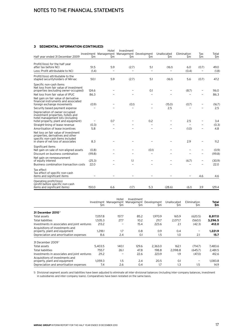# Notes to the financial statements

# **3 Segmental information (continued)**

| Half year ended 31 December 2009                                                                                                                    | \$m              | Hotel<br>\$m      | Investment<br>Investment Management Management Development<br>\$m | \$m                      | Unallocated<br>\$m | Elimination<br>\$m | Tax<br>\$m               | Total<br>\$m     |
|-----------------------------------------------------------------------------------------------------------------------------------------------------|------------------|-------------------|-------------------------------------------------------------------|--------------------------|--------------------|--------------------|--------------------------|------------------|
|                                                                                                                                                     |                  |                   |                                                                   |                          |                    |                    |                          |                  |
| Profit/(loss) for the half year<br>after tax before NCI                                                                                             | 51.5             | 5.9               | (2.7)                                                             | 5.1                      | (16.1)             | 6.0                | (0.7)                    | 49.0             |
| Less: Profit attributable to NCI                                                                                                                    | (1.4)            | $\qquad \qquad -$ | $\overline{\phantom{0}}$                                          | $\equiv$                 | ÷,                 | (0.4)              | $\overline{\phantom{a}}$ | (1.8)            |
| Profit/(loss) attributable to the<br>stapled securityholders of Mirvac                                                                              | 50.1             | 5.9               | (2.7)                                                             | 5.1                      | (16.1)             | 5.6                | (0.7)                    | 47.2             |
| Specific non-cash items<br>Net loss from fair value of investment<br>properties (excluding owner-occupied)<br>Net loss from fair value of IPUC      | 124.6<br>86.3    |                   |                                                                   | 0.1                      |                    | (8.7)              |                          | 116.0<br>86.3    |
| Net gain on fair value of derivative<br>financial instruments and associated<br>foreign exchange movements                                          | (0.9)            |                   | (0.1)                                                             |                          | (15.0)             | (0.7)              |                          | (16.7)           |
| Security based payment expense                                                                                                                      |                  |                   |                                                                   |                          | 2.5                |                    |                          | 2.5              |
| Depreciation of owner-occupied<br>investment properties, hotels and<br>hotel management lots (including<br>hotel property, plant and equipment)     |                  | 0.7               |                                                                   | 0.2                      |                    | 2.5                |                          | 3.4              |
| Straight-lining of lease revenue                                                                                                                    | (0.3)            |                   |                                                                   | $\overline{\phantom{0}}$ |                    | -                  |                          | (0.3)            |
| Amortisation of lease incentives                                                                                                                    | 5.8              |                   |                                                                   |                          |                    | (1.0)              |                          | 4.8              |
| Net loss on fair value of investment<br>properties, derivatives and other<br>specific non-cash items included<br>in share of net loss of associates | 8.3              |                   |                                                                   |                          |                    | 2.9                |                          | 11.2             |
| Significant items<br>Net gain on sale of non-aligned assets<br>Discount on business combination                                                     | (0.8)<br>(119.8) |                   |                                                                   | (0.1)<br>$\equiv$        |                    |                    |                          | (0.9)<br>(119.8) |
| Net gain on remeasurement<br>of equity interest                                                                                                     | (25.3)           |                   | 1.1                                                               |                          |                    | (6.7)              |                          | (30.9)           |
| Business combination transaction costs                                                                                                              | 22.0             |                   |                                                                   |                          |                    |                    |                          | 22.0             |
| Tax effect<br>Tax effect of specific non-cash<br>items and significant items                                                                        |                  |                   |                                                                   |                          |                    |                    | 4.6                      | 4.6              |
| Operating profit/(loss)<br>(profit before specific non-cash<br>items and significant items)                                                         | 150.0            | 6.6               | (1.7)                                                             | 5.3                      | (28.6)             | (6.1)              | 3.9                      | 129.4            |

|                                                                  |         | Hotel | Investment |                                                     |                    |                    |              |
|------------------------------------------------------------------|---------|-------|------------|-----------------------------------------------------|--------------------|--------------------|--------------|
|                                                                  | \$m     | \$m   | \$m        | Investment Management Management Development<br>\$m | Unallocated<br>\$m | Elimination<br>\$m | Total<br>\$m |
| 31 December 2010 <sup>1</sup>                                    |         |       |            |                                                     |                    |                    |              |
| Total assets                                                     | 7.057.8 | 157.7 | 85.2       | 1.970.9                                             | 165.9              | (620.5)            | 8,817.0      |
| Total liabilities                                                | 1,535.3 | 27.7  | 10.2       | 211.7                                               | 2,071.7            | (560.1)            | 3,296.5      |
| Investments in associates and joint ventures                     | 213.2   |       | 15.4       | 223.6                                               | 2.1                | (42.3)             | 412.0        |
| Acquisitions of investments and<br>property, plant and equipment | 1,218.1 | 1.7   | 0.8        | 0.9                                                 | 0.4                |                    | 1,221.9      |
| Depreciation and amortisation expenses                           | 8.6     | 2.4   | 0.1        | 1.5                                                 | 1.0                | 2.1                | 15.7         |
| 31 December 2009 <sup>1</sup>                                    |         |       |            |                                                     |                    |                    |              |
| Total assets                                                     | 5.403.5 | 140.1 | 129.6      | 2,363.0                                             | 162.1              | (714.7)            | 7,483.6      |
| <b>Total liabilities</b>                                         | 755.7   | 26.1  | 47.8       | 198.8                                               | 2.098.8            | (645.7)            | 2,481.5      |
| Investments in associates and joint ventures                     | 211.2   |       | 22.6       | 223.9                                               | 1.9                | (47.0)             | 412.6        |
| Acquisitions of investments and<br>property, plant and equipment | 1.059.3 | 1.5   | 2.4        | 20.5                                                | 0.1                |                    | 1,083.8      |
| Depreciation and amortisation expenses                           | 7.4     | 2.6   | 0.4        | 1.7                                                 | 1.3                | 1.5                | 14.9         |

1) Divisional segment assets and liabilities have been adjusted to eliminate all inter-divisional balances (including inter-company balances, investment in subsidiaries and inter-company loans). Comparatives have been restated on the same basis.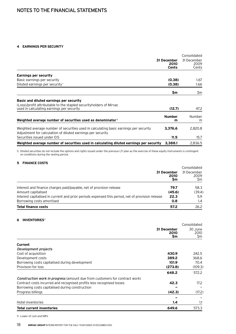# **4 Earnings per security**

|                                                                                                                                                      |                              | Consolidated                 |
|------------------------------------------------------------------------------------------------------------------------------------------------------|------------------------------|------------------------------|
|                                                                                                                                                      | 31 December<br>2010<br>Cents | 31 December<br>2009<br>Cents |
| <b>Earnings per security</b>                                                                                                                         |                              |                              |
| Basic earnings per security                                                                                                                          | (0.38)                       | 1.67                         |
| Diluted earnings per security <sup>1</sup>                                                                                                           | (0.38)                       | 1.66                         |
|                                                                                                                                                      | \$m                          | \$m                          |
| Basic and diluted earnings per security                                                                                                              |                              |                              |
| (Loss)/profit attributable to the stapled security holders of Mirvac<br>used in calculating earnings per security                                    | (12.7)                       | 47.2                         |
| Weighted average number of securities used as denominator <sup>1</sup>                                                                               | <b>Number</b><br>m           | <b>Number</b><br>m           |
|                                                                                                                                                      |                              |                              |
| Weighted average number of securities used in calculating basic earnings per security<br>Adjustment for calculation of diluted earnings per security | 3,376.6                      | 2,820.8                      |
| Securities issued under EIS                                                                                                                          | 11.5                         | 15.7                         |
| Weighted average number of securities used in calculating diluted earnings per security                                                              | 3.388.1                      | 2,836.5                      |

1) Diluted securities do not include the options and rights issued under the previous LTI plan as the exercise of these equity instruments is contingent on conditions during the vesting period.

# **5 Finance costs**

|                                                                                                  |                           | Consolidated               |
|--------------------------------------------------------------------------------------------------|---------------------------|----------------------------|
|                                                                                                  | 31 December<br>2010<br>Sm | 31 December<br>2009<br>\$m |
| Interest and finance charges paid/payable, net of provision release                              | 79.7                      | 58.3                       |
| Amount capitalised                                                                               | (45.6)                    | (39.4)                     |
| Interest capitalised in current and prior periods expensed this period, net of provision release | 22.3                      | 5.9                        |
| Borrowing costs amortised                                                                        | 0.8                       | 1.4                        |
| <b>Total finance costs</b>                                                                       | 57.2                      | 26.2                       |

# **6 INVENTORIES<sup>1</sup>**

|                                                                                    |                            | Consolidated           |
|------------------------------------------------------------------------------------|----------------------------|------------------------|
|                                                                                    | 31 December<br>2010<br>\$m | 30 June<br>2010<br>\$m |
| Current                                                                            |                            |                        |
| Development projects                                                               |                            |                        |
| Cost of acquisition                                                                | 430.9                      | 242.5                  |
| Development costs                                                                  | 389.2                      | 368.6                  |
| Borrowing costs capitalised during development                                     | 101.9                      | 70.4                   |
| Provision for loss                                                                 | (273.8)                    | (109.3)                |
|                                                                                    | 648.2                      | 572.2                  |
| <b>Construction work in progress</b> (amount due from customers for contract work) |                            |                        |
| Contract costs incurred and recognised profits less recognised losses              | 42.3                       | 17.2                   |
| Borrowing costs capitalised during construction                                    |                            |                        |
| Progress billings                                                                  | (42.3)                     | (17.2)                 |
|                                                                                    |                            |                        |
| Hotel inventories                                                                  | 1.4                        | 1.1                    |
| <b>Total current inventories</b>                                                   | 649.6                      | 573.3                  |

1) Lower of cost and NRV.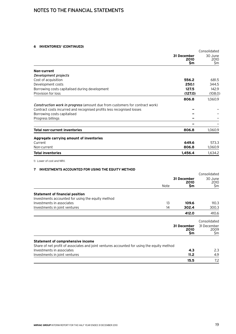# **6 Inventories1 (continued)**

| 31 December | 30 June     |
|-------------|-------------|
| 2010<br>\$m | 2010<br>\$m |
|             |             |
|             |             |
| 556.2       | 681.5       |
| 250.1       | 344.5       |
| 127.5       | 142.9       |
| (127.0)     | (108.0)     |
| 806.8       | 1,060.9     |
|             |             |
|             |             |
|             |             |
|             |             |
|             |             |
| 806.8       | 1,060.9     |
|             |             |
| 649.6       | 573.3       |
| 806.8       | 1,060.9     |
| 1.456.4     | 1,634.2     |
|             |             |

# **7 Investments accounted for using the equity method**

|                                                                                                                         | Note | 31 December<br>2010<br>\$m | Consolidated<br>30 June<br>2010<br>\$m     |
|-------------------------------------------------------------------------------------------------------------------------|------|----------------------------|--------------------------------------------|
| <b>Statement of financial position</b>                                                                                  |      |                            |                                            |
| Investments accounted for using the equity method                                                                       |      |                            |                                            |
| Investments in associates                                                                                               | 13   | 109.6                      | 110.3                                      |
| Investments in joint ventures                                                                                           | 14   | 302.4                      | 300.3                                      |
|                                                                                                                         |      | 412.0                      | 410.6                                      |
|                                                                                                                         |      | 31 December<br>2010<br>\$m | Consolidated<br>31 December<br>2009<br>\$m |
| <b>Statement of comprehensive income</b>                                                                                |      |                            |                                            |
| Share of net profit of associates and joint ventures accounted for using the equity method<br>Investments in associates |      | 4.3                        | 2.3                                        |
| Investments in joint ventures                                                                                           |      | 11.2                       | 4.9                                        |
|                                                                                                                         |      | 15.5                       | 7.2                                        |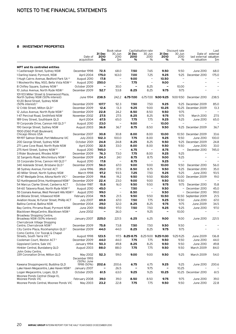# **8 Investment properties**

|                                                                             |                        |                              | Book value               |                          | Capitalisation rate      |                      | Discount rate            |                                      | Last                     |
|-----------------------------------------------------------------------------|------------------------|------------------------------|--------------------------|--------------------------|--------------------------|----------------------|--------------------------|--------------------------------------|--------------------------|
|                                                                             | Date of<br>acquisition | 31 Dec<br>2010<br>\$m        | 30 Jun<br>2010<br>\$m    | 31 Dec<br>2010<br>%      | 30 Jun<br>2010<br>$\%$   | 31 Dec<br>2010<br>%  | 30 Jun<br>2010<br>$\%$   | last external valuation<br>valuation | Date of external<br>Şm   |
| <b>MPT and its controlled entities</b>                                      |                        |                              |                          |                          |                          |                      |                          |                                      |                          |
|                                                                             | December 1998          | 72.5                         | 68.0                     | 7.50                     | 7.65                     | 9.50                 | 9.50                     | June 2010                            | 68.0                     |
| 1 Castlereagh Street, Sydney NSW<br>1 Darling Island, Pyrmont, NSW          | April 2004             | 175.0                        | 163.0                    | 7.00                     | 7.25                     | 9.25                 | 9.25                     | December 2010                        | 175.0                    |
|                                                                             |                        |                              | $\overline{\phantom{a}}$ |                          |                          |                      | $\overline{\phantom{a}}$ |                                      |                          |
| 1 Hugh Cairns Avenue, Bedford Park SA <sup>1,2</sup>                        | August 2010            | 17.8                         |                          | 9.00                     | $\overline{\phantom{a}}$ | 10.50                | $\blacksquare$           |                                      |                          |
| 1 Woolworths Way, NSO, Bella Vista NSW 1,2                                  | August 2010            | 250.0                        | $\overline{\phantom{a}}$ | 7.75                     | $\overline{\phantom{a}}$ | 9.00                 |                          |                                      |                          |
| 8 Chifley Square, Sydney NSW <sup>3</sup>                                   | October 2009           | $\qquad \qquad \blacksquare$ | 30.0                     | $\overline{\phantom{0}}$ | 8.25                     | $\qquad \qquad -$    | 10.00                    | $\overline{\phantom{0}}$             | $\overline{\phantom{0}}$ |
| 10 Julius Avenue, North Ryde NSW <sup>2</sup>                               | December 2009          | 52.7                         | 53.8                     | 8.25                     | 8.25                     | 9.75                 | 9.75                     |                                      |                          |
| 101-103 Miller Street & Greenwood Plaza,<br>North Sydney NSW (50% interest) | June 1994              | 238.5                        | 242.2                    | 6.75-7.00                |                          | 6.75-7.00 9.00-9.25  | 9.00-9.50                | December 2010                        | 238.5                    |
| 10-20 Bond Street, Sydney NSW                                               |                        |                              | 92.3                     | 7.50                     |                          | 9.25                 | 9.25                     | December 2009                        |                          |
| $(50\%$ interest) <sup>2</sup>                                              | December 2009          | 107.7                        |                          |                          | 7.50                     |                      |                          |                                      | 85.0                     |
| 12 Cribb Street, Milton QLD <sup>2</sup>                                    | December 2009          | 12.6                         | 13.3                     | 9.25                     | 9.00                     | 10.25                | 10.25                    | December 2009                        | 13.3                     |
| 12 Julius Avenue, North Ryde NSW <sup>2</sup>                               | December 2009          | 22.8                         | 24.2                     | 8.50                     | 8.50                     | 9.50                 | 9.75                     |                                      |                          |
| 1-47 Percival Road, Smithfield NSW                                          | November 2002          | 27.5                         | 27.5                     | 8.25                     | 8.25                     | 9.75                 | 9.75                     | March 2010                           | 27.5                     |
| 189 Grey Street, Southbank QLD                                              | April 2004             | 67.5                         | 65.0                     | 7.75                     | 7.75                     | 9.25                 | 9.25                     | June 2010                            | 65.0                     |
| 19 Corporate Drive, Cannon Hill QLD <sup>1,2</sup>                          | August 2010            | 23.0                         | $\overline{\phantom{m}}$ | 9.00                     | $\overline{\phantom{a}}$ | 10.00                | $\equiv$                 |                                      |                          |
| 190 George Street, Sydney NSW                                               | August 2003            | 36.8                         | 36.7                     | 8.75                     | 8.50                     | 9.50                 | 9.25                     | December 2009                        | 36.7                     |
| 1900-2060 Pratt Boulevard,                                                  |                        |                              |                          |                          |                          |                      |                          |                                      |                          |
| Chicago Illinois USA                                                        | December 2007          | 30.8                         | 30.8                     | 8.00                     | 8.00                     | 10.00                | 10.50                    | December 2009                        | 33.6                     |
| 191-197 Salmon Street, Port Melbourne VIC                                   | <b>July 2003</b>       | 102.3                        | 100.0                    | 7.75                     | 8.00                     | 9.25                 | 9.50                     | June 2010                            | 100.0                    |
| 200 George Street, Sydney NSW                                               | October 2001           | 24.8                         | 24.8                     | 8.25                     | 8.25                     | 9.50                 |                          | 9.25 December 2009                   | 24.8                     |
| 271 Lane Cove Road, North Ryde NSW                                          | April 2000             | 32.5                         | 33.0                     | 8.00                     | 8.00                     | 9.50                 | 9.50                     | June 2010                            | 33.0                     |
| 275 Kent Street, Sydney NSW 1,2                                             | August 2010            | 745.0                        | $\overline{\phantom{0}}$ | 6.75                     | $\overline{\phantom{0}}$ | 8.75                 | $\qquad \qquad -$        | December 2010                        | 745.0                    |
| 3 Rider Boulevard, Rhodes NSW <sup>2</sup>                                  | December 2009          | 76.3                         | 73.0                     | 7.75                     | 8.00                     | 9.25                 | 9.25                     |                                      |                          |
| 32 Sargents Road, Minchinbury NSW <sup>2</sup>                              | December 2009          | 24.3                         | 24.1                     | 8.75                     | 8.75                     | 9.00                 | 9.25                     |                                      |                          |
| 33 Corporate Drive, Cannon Hill QLD <sup>1,2</sup>                          | August 2010            | 17.8                         | $\overline{\phantom{m}}$ | 8.75                     | $\overline{\phantom{m}}$ | 9.25                 | $\equiv$                 |                                      | $\sim$                   |
| 340 Adelaide Street, Brisbane QLD <sup>2</sup>                              | December 2009          | 56.0                         | 67.0                     | 9.00                     | 9.00                     | 10.00                | 9.50                     | December 2010                        | 56.0                     |
| 38 Sydney Avenue, Forrest ACT                                               | June 1996              | 35.0                         | 37.5                     | 8.50                     | 8.75                     | 9.50                 | 9.25                     | December 2010                        | 35.0                     |
| 40 Miller Street, North Sydney NSW                                          | March 1998             | 97.2                         | 93.5                     | 7.25                     | 7.50                     | 9.25                 | 9.25                     | June 2010                            | 93.5                     |
| 47-67 Westgate Drive, Altona North VIC <sup>2</sup>                         | December 2009          | 19.6                         | 19.2                     | 9.50                     | 9.50                     | 10.00                | 10.00                    | December 2009                        | 19.0                     |
|                                                                             | December 2009          | 22.4                         | 23.0                     | 9.00                     | 9.00                     | 9.50                 | 9.50                     |                                      |                          |
| 52 Huntingwood Drive, Huntingwood NSW <sup>2</sup>                          |                        |                              |                          |                          |                          |                      |                          |                                      |                          |
| 54 Marcus Clarke Street, Canberra ACT                                       | October 1987           | 15.8                         | 16.0                     | 9.50                     | 9.50                     | 9.75                 | 9.75                     | December 2010                        | 15.8                     |
| 54-60 Talavera Road, North Ryde NSW 1,2                                     | August 2010            | 45.0                         | $\overline{\phantom{m}}$ | 7.50                     | $\qquad \qquad -$        | 9.50                 | $\qquad \qquad -$        | December 2010                        | 45.0                     |
| 55 Coonara Avenue, West Pennant Hills NSW <sup>1,2</sup>                    | August 2010            | 99.0                         | $\overline{\phantom{a}}$ | 8.50                     | $\overline{\phantom{a}}$ | 9.50                 | $\qquad \qquad -$        | December 2010                        | 99.0                     |
| 64 Biloela Street, Villawood NSW                                            | February 2004          | 19.5                         | 21.5                     | 9.50                     | 9.50                     | 10.50                | 10.50                    | September 2009                       | 21.5                     |
| Aviation House, 16 Furzer Street, Phillip ACT                               | <b>July 2007</b>       | 69.8                         | 67.0                     | 7.50                     | 7.75                     | 9.25                 | 9.50                     | June 2010                            | 67.0                     |
| Ballina Central, Ballina NSW                                                | December 2004          | 29.0                         | 32.0                     | 8.25                     | 8.25                     | 9.75                 | 9.75                     | June 2009                            | 34.5                     |
| Bay Centre, Pirrama Road, Pyrmont NSW                                       | June 2001              | 110.0                        | 97.0                     | 7.50                     | 7.50                     | 9.25                 | 9.25                     | June 2010                            | 97.0                     |
| Blacktown MegaCentre, Blacktown NSW <sup>4</sup>                            | June 2002              | $\overline{\phantom{0}}$     | 26.0                     | -                        | 9.25                     | -                    | 10.00                    |                                      |                          |
| Broadway Shopping Centre,<br>Broadway NSW (50% interest)                    | January 2007           | 225.0                        | 221.5                    | 6.25                     | 6.25                     | 9.00                 | 9.00                     | June 2010                            | 221.5                    |
| Cherrybrook Village Shopping<br>Centre, Cherrybrook NSW <sup>2</sup>        | December 2009          | 75.8                         | 73.8                     | 7.50                     | 7.50                     | 9.50                 | 9.50                     |                                      |                          |
| City Centre Plaza, Rockhampton QLD <sup>2</sup>                             | December 2009          | 44.0                         | 44.0                     | 8.25                     | 8.25                     | 9.75                 | 9.75                     | $\overline{\phantom{0}}$             |                          |
| Como Centre, Cnr Toorak & Chapel<br>Streets, South Yarra VIC <sup>5</sup>   | August 1998            | 123.5                        |                          | 117.5 8.25-8.75          |                          | 8.25-9.00 9.25-11.00 | 9.25-11.25               | June 2009                            | 136.8                    |
| Cooleman Court, Weston ACT <sup>2</sup>                                     | December 2009          | 44.0                         | 44.0                     | 7.75                     | 7.75                     | 9.50                 | 9.50                     | June 2010                            | 44.0                     |
| Gippsland Centre, Sale VIC                                                  | January 1994           | 50.3                         | 49.8                     | 8.25                     | 8.25                     | 9.50                 | 9.50                     | June 2010                            | 49.8                     |
| Hinkler Central, Bundaberg QLD                                              | August 2003            | 88.0                         | 88.0                     | 7.75                     | 7.75                     | 9.50                 | 9.50                     | March 2009                           | 84.0                     |
| John Oxley Centre,                                                          |                        |                              |                          |                          |                          |                      |                          |                                      |                          |
| 339 Coronation Drive, Milton QLD                                            | May 2002               | 52.3                         | 59.0                     | 9.00                     | 9.00                     | 9.50                 | 9.25                     | March 2009                           | 54.0                     |
|                                                                             | December 1993          |                              |                          |                          |                          |                      |                          |                                      |                          |
|                                                                             | (50%) June             |                              |                          |                          |                          |                      |                          |                                      |                          |
| Kawana Shoppingworld, Buddina QLD                                           | 1998 (50%)             | 202.6                        | 200.6                    | 6.75                     | 6.75                     | 9.25                 | 9.25                     | June 2010                            | 200.6                    |
| Lake Haven Megacentre, Lake Haven NSW <sup>6</sup>                          | January 2007           |                              | 26.5                     |                          | 9.75                     |                      | 10.25                    |                                      |                          |
| Logan Megacentre, Logan, QLD                                                | October 2005           | 61.5                         | 63.0                     | 9.25                     | 9.25                     | 10.25                |                          | 10.25 December 2010                  | 61.5                     |
| Moonee Ponds Central (Stage II),                                            |                        |                              |                          |                          |                          |                      |                          |                                      |                          |
| Moonee Ponds VIC                                                            | February 2008          | 39.0                         | 39.0                     | 8.50                     | 8.50                     | 9.75                 | 9.75                     | June 2010                            | 39.0                     |
| Moonee Ponds Central, Moonee Ponds VIC                                      | May 2003               | 23.2                         | 22.8                     | 7.75                     | 7.75                     | 9.50                 | 9.50                     | June 2010                            | 22.8                     |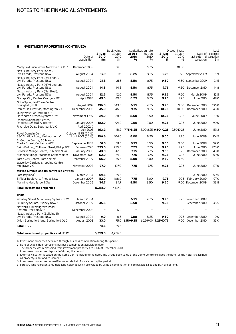# **8 Investment properties (continued)**

|                                                                    |                                        |                          | Book value               |                        | Capitalisation rate<br>Discount rate |                              |                          | Last                    |                  |
|--------------------------------------------------------------------|----------------------------------------|--------------------------|--------------------------|------------------------|--------------------------------------|------------------------------|--------------------------|-------------------------|------------------|
|                                                                    | Date of                                | 31 Dec<br>2010           | 30 Jun<br>2010           | 31 Dec<br>2010         | 30 Jun<br>2010                       | 31 Dec<br>2010               | 30 Jun<br>2010           | last external valuation | Date of external |
|                                                                    | acquisition                            | \$m                      | \$m                      | %                      | $\%$                                 | %                            | $\frac{0}{0}$            | valuation               | \$m              |
|                                                                    |                                        |                          |                          |                        |                                      |                              |                          |                         |                  |
| Morayfield SupaCentre, Morayfield QLD <sup>2,4</sup>               | December 2009                          |                          | 37.5                     |                        | 9.75                                 | ۰                            | 10.50                    |                         |                  |
| Nexus Industry Park (Atlas).<br>Lyn Parade, Prestons NSW           | August 2004                            | 17.9                     | 17.1                     | 8.25                   | 8.25                                 | 9.75                         | 9.75                     | September 2009          | 17.1             |
| Nexus Industry Park (DeLonghi),                                    |                                        |                          |                          |                        |                                      |                              |                          |                         |                  |
| Lyn Parade, Prestons NSW                                           | August 2004                            | 21.8                     | 21.5                     | 8.50                   | 8.75                                 | 9.50                         | 9.50                     | September 2009          | 21.5             |
| Nexus Industry Park (HPM Legrand),<br>Lyn Parade, Prestons NSW     | August 2004                            | 14.8                     | 14.8                     | 8.50                   | 8.75                                 | 9.75                         | 9.50                     | December 2010           | 14.8             |
| Nexus Industry Park (NatSteel),<br>Lyn Parade, Prestons NSW        | August 2004                            | 12.3                     | 12.0                     | 8.50                   | 8.75                                 | 9.25                         | 9.50                     | March 2009              | 12.5             |
| Orange City Centre, Orange NSW                                     | April 1993                             | 49.0                     | 49.0                     | 8.25                   | 8.25                                 | 9.25                         | 9.25                     | June 2010               | 49.0             |
| Orion Springfield Town Centre,                                     |                                        |                          |                          |                        |                                      |                              |                          |                         |                  |
| Springfield, QLD                                                   | August 2002                            | 136.0                    | 143.0                    | 6.75                   | 6.75                                 | 9.25<br>10.25                | 9.00                     | December 2010           | 136.0            |
| Peninsula Lifestyle, Mornington VIC<br>Quay West Car Park, 109-111 | December 2003                          | 45.0                     | 46.0                     | 9.75                   | 9.25                                 |                              | 10.00                    | December 2010           | 45.0             |
| Harrington Street, Sydney NSW                                      | November 1989                          | 29.0                     | 28.5                     | 8.50                   | 8.50                                 | 10.25                        | 10.25                    | June 2009               | 37.0             |
| Rhodes Shopping Centre,<br>Rhodes NSW (50% interest)               | January 2007                           | 102.0                    | 99.0                     | 7.00                   | 7.00                                 | 9.25                         | 9.25                     | June 2010               | 99.0             |
| Riverside Quay, Southbank VIC                                      | April 2002 &                           |                          |                          |                        |                                      |                              |                          |                         |                  |
|                                                                    | <b>July 2003</b><br>October 1995 (50%) | 163.2                    | 151.2                    | 7.75-8.25              |                                      | 8.00-8.25 9.50-10.25         | 9.50-10.25               | June 2010               | 151.2            |
| Royal Domain Centre,<br>380 St Kilda Road, Melbourne VIC           | April 2001 (50%)                       | 106.6                    | 104.0                    | 8.00                   | 8.25                                 | 9.00                         | 9.25                     | June 2009               | 101.5            |
| St George Centre, 60 Marcus<br>Clarke Street, Canberra ACT         | September 1989                         | 51.5                     | 51.5                     | 8.75                   | 8.50                                 | 9.00                         | 9.00                     | June 2009               | 52.0             |
| Sirius Building, 23 Furzer Street, Phillip ACT                     | February 2010                          | 233.0                    | 225.0                    | 7.25                   | 7.25                                 | 9.25                         | 9.25                     | June 2010               | 225.0            |
| St Marys Village Centre, St Marys NSW                              | January 2003                           | 43.0                     | 42.3                     | 7.75                   | 7.75                                 | 9.50                         | 9.25                     | December 2010           | 43.0             |
| Stanhope Village, Stanhope Gardens NSW                             | November 2003                          | 62.0                     | 59.0                     | 7.75                   | 7.75                                 | 9.25                         | 9.25                     | June 2010               | 59.0             |
| Taree City Centre, Taree NSW <sup>2</sup>                          | December 2009                          | 55.0                     | 55.5                     | 8.00                   | 8.00                                 | 9.50                         | 9.50                     |                         |                  |
| Waverley Gardens Shopping Centre,                                  |                                        |                          |                          |                        |                                      |                              |                          |                         |                  |
| Mulgrave VIC                                                       | November 2002                          | 127.0                    | 127.0                    | 7.75                   | 7.75                                 | 9.25                         | 9.25                     | June 2010               | 127.0            |
| Mirvac Limited and its controlled entities                         |                                        |                          |                          |                        |                                      |                              |                          |                         |                  |
| Forestry land <sup>7</sup>                                         | March 2004                             | 59.5                     | 59.5                     | -                      |                                      |                              | $\overline{\phantom{0}}$ | June 2010               | 59.5             |
| 5 Rider Boulevard, Rhodes NSW                                      | January 2007                           | 112.0                    | 108.0                    | 7.75                   | 8.00                                 | 9.75                         | 9.75                     | February 2009           | 107.0            |
| Manning Mall, Taree, NSW                                           | December 2006                          | 34.7                     | 34.7                     | 8.50                   | 8.50                                 | 9.50                         | 9.50                     | December 2009           | 32.8             |
| <b>Total investment properties</b>                                 |                                        | 5,281.0                  | 4,137.0                  |                        |                                      |                              |                          |                         |                  |
| <b>IPUC</b>                                                        |                                        |                          |                          |                        |                                      |                              |                          |                         |                  |
| 4 Dalley Street & Laneway, Sydney NSW                              | March 2004                             |                          | $\overline{\phantom{0}}$ | 6.75                   | 6.75                                 | 9.25                         |                          | 9.25 December 2009      |                  |
| 8 Chifley Square, Sydney NSW <sup>3</sup>                          | October 2009                           | 36.5                     | $\overline{\phantom{0}}$ | 6.50                   |                                      | 9.25                         | $\qquad \qquad -$        | December 2010           | 36.5             |
| Network, Old Wallgrove Road,                                       |                                        |                          |                          |                        |                                      |                              |                          |                         |                  |
| Eastern Creek NSW 2, 4                                             | December 2002                          | $\overline{\phantom{0}}$ | 6.0                      |                        |                                      |                              |                          |                         |                  |
| Nexus Industry Park (Building 5),                                  |                                        |                          |                          |                        |                                      |                              |                          |                         |                  |
| Lyn Parade, Prestons NSW                                           | August 2004                            | 9.0                      | 8.5                      | 7.88<br>75.0 6.50-9.25 | 8.25                                 | 9.50<br>6.25-9.00 9.25-10.75 | 9.00                     | 9.75 December 2010      | 9.0<br>33.0      |
| Orion Springfield land, Springfield QLD                            | August 2002                            | 33.0                     |                          |                        |                                      |                              |                          | December 2010           |                  |
| <b>Total IPUC</b>                                                  |                                        | 78.5                     | 89.5                     |                        |                                      |                              |                          |                         |                  |
| Total investment properties and IPUC                               |                                        | 5,359.5                  | 4.226.5                  |                        |                                      |                              |                          |                         |                  |

1) Investment properties acquired through business combination during this period.

2) Date of acquisition represents business combination acquisition date.

3) The property was reclassified from investment properties to IPUC at December 2010.

4) Investment properties disposed of during the period.

5) External valuation is based on the Como Centre including the hotel. The Group book value of the Como Centre excludes the hotel, as the hotel is classified as property, plant and equipment.

6) Investment properties reclassified as assets held for sale during the period.

7) Forestry land represents multiple land holdings which are valued by using a combination of comparable sales and DCF projections.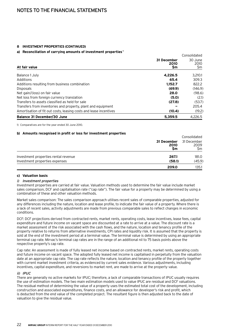# **8 Investment properties (continued)**

# **a) Reconciliation of carrying amounts of investment properties <sup>1</sup>**

| a) Thesentemation of earlying anivality of infectinging properties |                           | Consolidated           |
|--------------------------------------------------------------------|---------------------------|------------------------|
| At fair value                                                      | 31 December<br>2010<br>Sm | 30 June<br>2010<br>\$m |
| Balance 1 July                                                     | 4.226.5                   | 3,210.1                |
| Additions                                                          | 65.4                      | 309.3                  |
| Additions resulting from business combination                      | 1.152.7                   | 822.2                  |
| <b>Disposals</b>                                                   | (69.9)                    | (146.9)                |
| Net gain/(loss) on fair value                                      | 28.0                      | (98.6)                 |
| Net loss from foreign currency translation                         | (5.0)                     | (2.1)                  |
| Transfers to assets classified as held for sale                    | (27.8)                    | (53.7)                 |
| Transfers from inventories and property, plant and equipment       |                           | 205.4                  |
| Amortisation of fit out costs, leasing costs and lease incentives  | (10.4)                    | (19.2)                 |
| Balance 31 December/30 June                                        | 5.359.5                   | 4.226.5                |

1) Comparatives are for the year ended 30 June 2010.

# **b) Amounts recognised in profit or loss for investment properties**

|                                      |                           | Consolidated              |
|--------------------------------------|---------------------------|---------------------------|
|                                      | 31 December<br>2010<br>Sm | 31 December<br>2009<br>Sm |
| Investment properties rental revenue | 267.1                     | 181.0                     |
| Investment properties expenses       | (58.1)                    | (45.9)                    |
|                                      | 209.0                     | 135.1                     |

# **c) Valuation basis**

# i) Investment properties

Investment properties are carried at fair value. Valuation methods used to determine the fair value include market sales comparison, DCF and capitalisation rate ("cap rate"). The fair value for a property may be determined by using a combination of these and other valuation methods.

Market sales comparison: The sales comparison approach utilises recent sales of comparable properties, adjusted for any differences including the nature, location and lease profile, to indicate the fair value of a property. Where there is a lack of recent sales, activity adjustments are made from previous comparable sales to reflect changes in economic conditions.

DCF: DCF projections derived from contracted rents, market rents, operating costs, lease incentives, lease fees, capital expenditure and future income on vacant space are discounted at a rate to arrive at a value. The discount rate is a market assessment of the risk associated with the cash flows, and the nature, location and tenancy profile of the property relative to returns from alternative investments, CPI rates and liquidity risk. It is assumed that the property is sold at the end of the investment period at a terminal value. The terminal value is determined by using an appropriate terminal cap rate. Mirvac's terminal cap rates are in the range of an additional nil to 75 basis points above the respective property's cap rate.

Cap rate: An assessment is made of fully leased net income based on contracted rents, market rents, operating costs and future income on vacant space. The adopted fully leased net income is capitalised in perpetuity from the valuation date at an appropriate cap rate. The cap rate reflects the nature, location and tenancy profile of the property together with current market investment criteria, as evidenced by current sales evidence. Various adjustments, including incentives, capital expenditure, and reversions to market rent, are made to arrive at the property value.

# $ii)$   $IDUC$

There are generally no active markets for IPUC; therefore, a lack of comparable transactions of IPUC usually requires the use of estimation models. The two main estimation models used to value IPUC are residual and DCF valuations. The residual method of determining the value of a property uses the estimated total cost of the development, including construction and associated expenditures, finance costs, and an allowance for developer's risk and profit, which is deducted from the end value of the completed project. The resultant figure is then adjusted back to the date of valuation to give the residual value.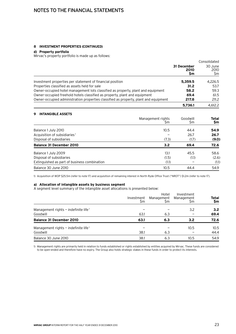# **8 Investment properties (continued)**

# **d) Property portfolio**

Mirvac's property portfolio is made up as follows:

|                                                                                      |                           | Consolidated           |
|--------------------------------------------------------------------------------------|---------------------------|------------------------|
|                                                                                      | 31 December<br>2010<br>Sm | 30 June<br>2010<br>\$m |
| Investment properties per statement of financial position                            | 5.359.5                   | 4.226.5                |
| Properties classified as assets held for sale                                        | 31.2                      | 53.7                   |
| Owner-occupied hotel management lots classified as property, plant and equipment     | 58.2                      | 59.3                   |
| Owner-occupied freehold hotels classified as property, plant and equipment           | 69.4                      | 61.5                   |
| Owner-occupied administration properties classified as property, plant and equipment | 217.8                     | 211.2                  |
|                                                                                      | 5,736.1                   | 4.612.2                |

| <b>INTANGIBLE ASSETS</b><br>9                |                         |                 |              |
|----------------------------------------------|-------------------------|-----------------|--------------|
|                                              | Management rights<br>Sm | Goodwill<br>\$m | Total<br>\$m |
| Balance 1 July 2010                          | 10.5                    | 44.4            | 54.9         |
| Acquisition of subsidiaries <sup>1</sup>     |                         | 26.7            | 26.7         |
| Disposal of subsidiaries                     | (7.3)                   | (1.7)           | (9.0)        |
| <b>Balance 31 December 2010</b>              | 3.2                     | 69.4            | 72.6         |
| Balance 1 July 2009                          | 13.1                    | 45.5            | 58.6         |
| Disposal of subsidiaries                     | (1.5)                   | (1.1)           | (2.6)        |
| Extinguished as part of business combination | (1.1)                   |                 | (1.1)        |
| Balance 30 June 2010                         | 10.5                    | 44.4            | 54.9         |

1) Acquisition of WOP \$25.5m (refer to note 17) and acquisition of remaining interest in North Ryde Office Trust ("NROT") \$1.2m (refer to note 17).

# **a) Allocation of intangible assets by business segment**

A segment level summary of the intangible asset allocations is presented below:

|                                                    | Investment<br>\$m | Hotel<br>Management<br>Şm | Investment<br>Management<br>Sm | <b>Total</b><br>\$m |
|----------------------------------------------------|-------------------|---------------------------|--------------------------------|---------------------|
| Management rights $-$ indefinite life <sup>1</sup> |                   |                           | 3.2                            | 3.2                 |
| Goodwill                                           | 63.1              | 6.3                       |                                | 69.4                |
| <b>Balance 31 December 2010</b>                    | 63.1              | 6.3                       | 3.2                            | 72.6                |
| Management rights $-$ indefinite life <sup>1</sup> |                   |                           | 10.5                           | 10.5                |
| Goodwill                                           | 38.1              | 6.3                       |                                | 44.4                |
| Balance 30 June 2010                               | 38.1              | 6.3                       | 10.5                           | 54.9                |

1) Management rights are primarily held in relation to funds established or rights established by entities acquired by Mirvac. These funds are considered to be open-ended and therefore have no expiry. The Group also holds strategic stakes in these funds in order to protect its interests.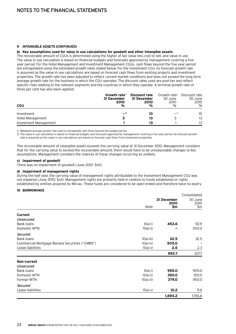# **9 Intangible assets (continued)**

# **b) Key assumptions used for value in use calculations for goodwill and other intangible assets**

The recoverable amount of CGUs is determined using the higher of fair value less cost to sell, and value in use. The value in use calculation is based on financial budgets and forecasts approved by management covering a five year period. For the Hotel Management and Investment Management CGUs, cash flows beyond the five year period are extrapolated using the estimated growth rates stated below. For the Investment CGU, no forecast growth rate is assumed as the value in use calculations are based on forecast cash flows from existing projects and investment properties. The growth rate has been adjusted to reflect current market conditions and does not exceed the long term average growth rate for the business in which the CGU operates. The discount rates used are post-tax and reflect specific risks relating to the relevant segments and the countries in which they operate. A terminal growth rate of three per cent has also been applied.

| <b>CGU</b>            | Growth rate <sup>1</sup><br>31 December<br>2010<br>% | Discount rate<br>31 December<br>2010<br>% | Growth rate <sup>1</sup><br>30 June<br>2010<br>$\%$ | Discount rate<br>30 June<br>2010<br>$\%$ |
|-----------------------|------------------------------------------------------|-------------------------------------------|-----------------------------------------------------|------------------------------------------|
| Investment            | $-2$                                                 | 10                                        | $-2$                                                | 10                                       |
| Hotel Management      |                                                      | 13                                        |                                                     | 13                                       |
| Investment Management |                                                      | 13                                        |                                                     | 13                                       |

1) Weighted average growth rate used to extrapolate cash flows beyond the budget period.

2) The value in use calculation is based on financial budgets and forecasts approved by management covering a five year period. No forecast growth rate is assumed as the value in use calculations are based on forecast cash flows from investment properties.

The recoverable amount of intangible assets exceeds the carrying value at 31 December 2010. Management considers that for the carrying value to exceed the recoverable amount, there would have to be unreasonable changes to key assumptions. Management considers the chances of these changes occurring as unlikely.

# **c) Impairment of goodwill**

There was no impairment of goodwill (June 2010: \$nil).

# **d) Impairment of management rights**

During the half year, the carrying value of management rights attributable to the Investment Management CGU was not impaired (June 2010: \$nil). Management rights are primarily held in relation to funds established or rights established by entities acquired by Mirvac. These funds are considered to be open-ended and therefore have no expiry.

# **10 Borrowings**

|                                                |               |             | Consolidated |
|------------------------------------------------|---------------|-------------|--------------|
|                                                |               | 31 December | 30 June      |
|                                                | Note          | 2010<br>\$m | 2010<br>\$m  |
|                                                |               |             |              |
| Current                                        |               |             |              |
| Unsecured                                      |               |             |              |
| <b>Bank loans</b>                              | $10a)$ i)     | 453.6       | 92.9         |
| Domestic MTN                                   | 10a) ii)      |             | 200.0        |
| <b>Secured</b>                                 |               |             |              |
| Bank loans                                     | $10a)$ iii)   | 32.5        | 32.5         |
| Commercial Mortgage-Backed Securities ("CMBS") | 10a) iv)      | 505.0       |              |
| Lease liabilities                              | 10a) v)       | 2.6         | 2.3          |
|                                                |               | 993.7       | 327.7        |
| Non-current                                    |               |             |              |
| <b>Unsecured</b>                               |               |             |              |
| Bank loans                                     | $10a)$ i)     | 955.0       | 905.0        |
| Domestic MTN                                   | $10a)$ ii)    | 350.0       | 150.0        |
| Foreign MTN                                    | $10a)$ vi $)$ | 379.0       | 450.0        |
| <b>Secured</b>                                 |               |             |              |
| Lease liabilities                              | 10a) v)       | 10.2        | 11.6         |
|                                                |               | 1,694.2     | 1,516.6      |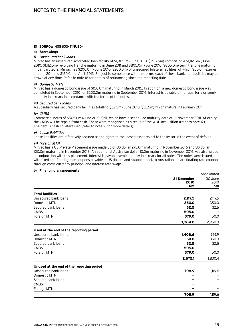# **10 Borrowings (continued)**

# **a) Borrowings**

# i) Unsecured bank loans

Mirvac has an unsecured syndicated loan facility of \$1,917.5m (June 2010: \$1,917.5m) comprising a \$1,112.5m (June 2010: \$1,112.5m) revolving tranche maturing in June 2011 and \$805.0m (June 2010: \$805.0m) term tranche maturing in January 2012. Mirvac has \$200.0m (June 2010: \$200.0m) of unsecured bilateral facilities, of which \$50.0m expires in June 2011 and \$150.0m in April 2013. Subject to compliance with the terms, each of these bank loan facilities may be drawn at any time. Refer to note 18 for details of refinancing since the reporting date.

# ii) Domestic MTN

Mirvac has a domestic bond issue of \$150.0m maturing in March 2015. In addition, a new domestic bond issue was completed in September 2010 for \$200.0m maturing in September 2016. Interest is payable either quarterly or semiannually in arrears in accordance with the terms of the notes.

# iii) Secured bank loans

A subsidiary has secured bank facilities totalling \$32.5m (June 2010: \$32.5m) which mature in February 2011.

# iv) CMBS

Commercial notes of \$505.0m (June 2010: \$nil) which have a scheduled maturity date of 16 November 2011. At expiry, the CMBS will be repaid from cash. These were recognised as a result of the WOP acquisition (refer to note 17). The debt is cash collateralised (refer to note 16 for more details).

# v) Lease liabilities

Lease liabilities are effectively secured as the rights to the leased asset revert to the lessor in the event of default.

# vi) Foreign MTN

Mirvac has a US Private Placement issue made up of US dollar 275.0m maturing in November 2016 and US dollar 100.0m maturing in November 2018. An additional Australian dollar 10.0m maturing in November 2016 was also issued in conjunction with this placement. Interest is payable semi-annually in arrears for all notes. The notes were issued with fixed and floating rate coupons payable in US dollars and swapped back to Australian dollars floating rate coupons through cross currency principal and interest rate swaps.

# **b) Financing arrangements**

|                                           |                            | Consolidated           |
|-------------------------------------------|----------------------------|------------------------|
|                                           | 31 December<br>2010<br>\$m | 30 June<br>2010<br>\$m |
| <b>Total facilities</b>                   |                            |                        |
| Unsecured bank loans                      | 2,117.5                    | 2,117.5                |
| Domestic MTN                              | 350.0                      | 350.0                  |
| Secured bank loans                        | 32.5                       | 32.5                   |
| <b>CMBS</b>                               | 505.0                      |                        |
| Foreign MTN                               | 379.0                      | 450.0                  |
|                                           | 3,384.0                    | 2,950.0                |
| Used at the end of the reporting period   |                            |                        |
| Unsecured bank loans                      | 1.408.6                    | 997.9                  |
| Domestic MTN                              | 350.0                      | 350.0                  |
| Secured bank loans                        | 32.5                       | 32.5                   |
| <b>CMBS</b>                               | 505.0                      |                        |
| Foreign MTN                               | 379.0                      | 450.0                  |
|                                           | 2,675.1                    | 1,830.4                |
| Unused at the end of the reporting period |                            |                        |
| Unsecured bank loans                      | 708.9                      | 1,119.6                |
| Domestic MTN                              |                            |                        |
| Secured bank loans                        |                            |                        |
| <b>CMBS</b>                               |                            |                        |
| Foreign MTN                               |                            |                        |
|                                           | 708.9                      | 1,119.6                |

Consolidated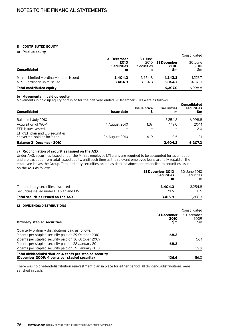# **11 Contributed equity**

# **a) Paid up equity**

| a) raid ap cydity                         |                                               |                                    |                           | Consolidated          |
|-------------------------------------------|-----------------------------------------------|------------------------------------|---------------------------|-----------------------|
| <b>Consolidated</b>                       | 31 December<br>2010<br><b>Securities</b><br>m | 30 June<br>2010<br>Securities<br>m | 31 December<br>2010<br>Sm | 30 June<br>2010<br>Sm |
| Mirvac Limited $-$ ordinary shares issued | 3.404.3                                       | 3.254.8                            | 1.242.3                   | 1,223.7               |
| $MPT$ – ordinary units issued             | 3.404.3                                       | 3.254.8                            | 5,064.7                   | 4,875.1               |
| Total contributed equity                  |                                               |                                    | 6,307.0                   | 6,098.8               |

# **b) Movements in paid up equity**

Movements in paid up equity of Mirvac for the half year ended 31 December 2010 were as follows:

| <b>Consolidated</b>                                              | Issue date     | <b>Issue price</b> | securities<br>m | <b>Consolidated</b><br>securities<br>Şm |
|------------------------------------------------------------------|----------------|--------------------|-----------------|-----------------------------------------|
| Balance 1 July 2010                                              |                |                    | 3.254.8         | 6,098.8                                 |
| Acquisition of WOP                                               | 4 August 2010  | 1.37               | 149.0           | 204.1                                   |
| EEP issues vested                                                |                |                    |                 | 2.0                                     |
| LTIP/LTI plan and EIS securities<br>converted, sold or forfeited | 26 August 2010 | 4.19               | 0.5             | 2.1                                     |
| <b>Balance 31 December 2010</b>                                  |                |                    | 3.404.3         | 6,307.0                                 |

# **c) Reconciliation of securities issued on the ASX**

Under AAS, securities issued under the Mirvac employee LTI plans are required to be accounted for as an option and are excluded from total issued equity, until such time as the relevant employee loans are fully repaid or the employee leaves the Group. Total ordinary securities issued as detailed above are reconciled to securities issued on the ASX as follows:

|                                          | 31 December 2010<br><b>Securities</b><br>m | 30 June 2010<br>Securities<br>m |
|------------------------------------------|--------------------------------------------|---------------------------------|
| Total ordinary securities disclosed      | 3.404.3                                    | 3.254.8                         |
| Securities issued under LTI plan and EIS | 11.5                                       | 11.5                            |
| Total securities issued on the ASX       | 3.415.8                                    | 3.266.3                         |

# **12 Dividends/distributions**

|                                                          |                            | Consolidated              |  |
|----------------------------------------------------------|----------------------------|---------------------------|--|
| <b>Ordinary stapled securities</b>                       | 31 December<br>2010<br>\$m | 31 December<br>2009<br>Şm |  |
|                                                          |                            |                           |  |
| Quarterly ordinary distributions paid as follows:        |                            |                           |  |
| 2 cents per stapled security paid on 29 October 2010     | 68.3                       |                           |  |
| 2 cents per stapled security paid on 30 October 2009     |                            | 56.1                      |  |
| 2 cents per stapled security paid on 28 January 2011     | 68.3                       |                           |  |
| 2 cents per stapled security paid on 29 January 2010     |                            | 59.9                      |  |
| Total dividend/distribution 4 cents per stapled security |                            |                           |  |
| (December 2009: 4 cents per stapled security)            | 136.6                      | 116.0                     |  |

There was no dividend/distribution reinvestment plan in place for either period; all dividends/distributions were satisfied in cash.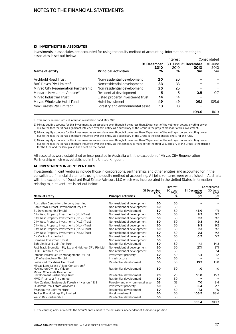# **13 Investments in associates**

Investments in associates are accounted for using the equity method of accounting. Information relating to associates is set out below:

|                                          |                                  |                          | Interest  |                                    | Consolidated          |  |
|------------------------------------------|----------------------------------|--------------------------|-----------|------------------------------------|-----------------------|--|
| Name of entity                           | <b>Principal activities</b>      | 31 December<br>2010<br>% | 2010<br>% | 30 June 31 December<br>2010<br>\$m | 30 June<br>2010<br>Şm |  |
| Archbold Road Trust                      | Non-residential development      | 20                       | 20        |                                    |                       |  |
| BAC Devco Pty Limited <sup>1</sup>       | Non-residential development      | 33                       | 33        |                                    |                       |  |
| Mirvac City Regeneration Partnership     | Non-residential development      | 25                       | 25        |                                    |                       |  |
| Mindarie Keys Joint Venture <sup>2</sup> | Residential development          | 15                       | 15        | 0.5                                | 0.7                   |  |
| Mirvac Industrial Trust <sup>3</sup>     | Listed property investment trust | 14                       | 14        |                                    |                       |  |
| Mirvac Wholesale Hotel Fund              | Hotel investment                 | 49                       | 49        | 109.1                              | 109.6                 |  |
| New Forests Pty Limited <sup>4</sup>     | Forestry and environmental asset | 13                       | 13        |                                    |                       |  |
|                                          |                                  |                          |           | 109.6                              | 110.3                 |  |

1) This entity entered into voluntary administration on 14 May 2010.

2) Mirvac equity accounts for this investment as an associate even though it owns less than 20 per cent of the voting or potential voting power due to the fact that it has significant influence over this entity, as a subsidiary of the Group is the project manager of this investment.

3) Mirvac equity accounts for this investment as an associate even though it owns less than 20 per cent of the voting or potential voting power due to the fact that it has significant influence over this entity, as a subsidiary of the Group is the responsible entity for the fund.

4) Mirvac equity accounts for this investment as an associate even though it owns less than 20 per cent of the voting or potential voting power due to the fact that it has significant influence over this entity, as the company is manager of the fund. A subsidiary of the Group is the trustee for the fund and the Group also has a seat on the Board.

All associates were established or incorporated in Australia with the exception of Mirvac City Regeneration Partnership which was established in the United Kingdom.

# **14 Investments in joint ventures**

Investments in joint ventures include those in corporations, partnerships and other entities and accounted for in the consolidated financial statements using the equity method of accounting. All joint ventures were established in Australia with the exception of Quadrant Real Estate Advisors LLC which was incorporated in the United States. Information relating to joint ventures is set out below:

|                                                                    |                                  |                     | Interest        |                     | Consolidated    |
|--------------------------------------------------------------------|----------------------------------|---------------------|-----------------|---------------------|-----------------|
|                                                                    |                                  | 31 December<br>2010 | 30 June<br>2010 | 31 December<br>2010 | 30 June<br>2010 |
| Name of entity                                                     | <b>Principal activities</b>      | %                   | $\%$            | \$m                 | \$m             |
| Australian Centre for Life Long Learning                           | Non-residential development      | 50                  | 50              |                     |                 |
| Bankstown Airport Development Pty Ltd                              | Non-residential development      | 50                  | 50              |                     |                 |
| <b>BL Developments Pty Ltd</b>                                     | Residential development          | 50                  | 50              | 48.9                | 47.1            |
| City West Property Investments (No.1) Trust                        | Non-residential development      | 50                  | 50              | 9.3                 | 9.2             |
| City West Property Investments (No.2) Trust                        | Non-residential development      | 50                  | 50              | 9.3                 | 9.2             |
| City West Property Investments (No.3) Trust                        | Non-residential development      | 50                  | 50              | 9.3                 | 9.2             |
| City West Property Investments (No.4) Trust                        | Non-residential development      | 50                  | 50              | 9.3                 | 9.2             |
| City West Property Investments (No.5) Trust                        | Non-residential development      | 50                  | 50              | 9.3                 | 9.2             |
| City West Property Investments (No.6) Trust                        | Non-residential development      | 50                  | 50              | 9.3                 | 9.2             |
| CN Collins Pty Limited                                             | Non-residential development      | 50                  | 50              | 0.2                 | 0.2             |
| Domaine Investment Trust                                           | Non-residential development      | 50                  | 50              | -                   |                 |
| Ephraim Island Joint Venture                                       | Residential development          | 50                  | 50              | 14.1                | 14.3            |
| Fast Track Bromelton Pty Ltd and Nakheel SPV Pty Ltd               | Non-residential development      | 50                  | 50              | 27.1                | 27.1            |
| <b>HPAL Freehold Pty Ltd</b>                                       | Non-residential development      | 50                  | 50              |                     | 7.4             |
| Infocus Infrastructure Management Pty Ltd                          | Investment property              | 50                  | 50              | 1.4                 | 1.2             |
| J F Infrastructure Pty Ltd                                         | Infrastructure                   | 50                  | 50              |                     |                 |
| Leakes Rd Rockbank Unit Trust                                      | Residential development          | 50                  | 50              | 13.7                | 13.8            |
| Mirvac Lend Lease Village Consortium/<br>Newington Olympic Village | Residential development          | 50                  | 50              | 1.0                 | 1.0             |
| Mirvac Wholesale Residential<br>Development Partnership Trust      | Residential development          | 20                  | 20              | 18.0                | 16.3            |
| MVIC Finance 2 Pty Limited                                         | Residential development          | 50                  | 50              |                     |                 |
| New Zealand Sustainable Forestry Investors 1 & 2                   | Forestry and environmental asset | 33                  | 33              | 7.0                 | 8.4             |
| Quadrant Real Estate Advisors LLC <sup>1</sup>                     | Investment property              | 50                  | 50              | 2.4                 | 2.7             |
| Swanbourne Joint Venture                                           | Residential development          | 50                  | 50              | 7.3                 | 7.0             |
| Tucker Box Holdings Pty Limited                                    | Hotel investment                 | 50                  | 50              | 105.5               | 98.6            |
| Walsh Bay Partnership                                              | Residential development          | 50                  | 50              |                     |                 |
|                                                                    |                                  |                     |                 | 302.4               | 300.3           |

1) The carrying amount reflects the Group's entitlement to the net assets independent of its financial position.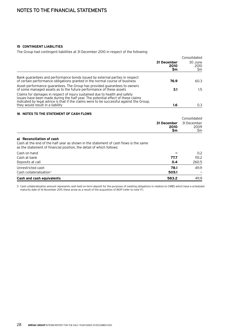# **15 Contingent liabilities**

The Group had contingent liabilities at 31 December 2010 in respect of the following:

|                           | Consolidated                 |  |
|---------------------------|------------------------------|--|
| 31 December<br>2010<br>Sm | 30 June<br>2010<br><b>Sm</b> |  |
| 76.9                      | 60.3                         |  |
| 3.1                       | 1.5                          |  |
|                           | 0.3                          |  |
|                           | 1.6                          |  |

# **16 Notes to the statement of cash flows**

|                                                                                                                                                                                           |                           | Consolidated               |
|-------------------------------------------------------------------------------------------------------------------------------------------------------------------------------------------|---------------------------|----------------------------|
|                                                                                                                                                                                           | 31 December<br>2010<br>Sm | 31 December<br>2009<br>\$m |
| a) Reconciliation of cash<br>Cash at the end of the half year as shown in the statement of cash flows is the same<br>as the statement of financial position, the detail of which follows: |                           |                            |
| Cash on hand                                                                                                                                                                              |                           | 0.2                        |
| Cash at bank                                                                                                                                                                              | 77.7                      | 151.2                      |
| Deposits at call                                                                                                                                                                          | 0.4                       | 260.5                      |
| Unrestricted cash                                                                                                                                                                         | 78.1                      | 411.9                      |
| Cash collateralisation <sup>1</sup>                                                                                                                                                       | 505.1                     |                            |
| Cash and cash equivalents                                                                                                                                                                 | 583.2                     | 411.9                      |

1) Cash collateralisation amount represents cash held on term deposit for the purposes of meeting obligations in relation to CMBS which have a scheduled maturity date of 16 November 2011; these arose as a result of the acquisition of WOP (refer to note 17).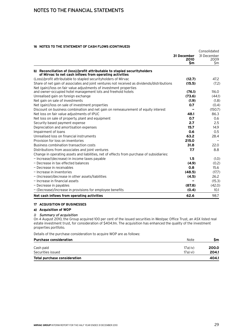# **16 Notes to the statement of cash flows (continued)**

|                                                                                                                                       |                     | Consolidated<br>31 December<br>2009<br>\$m |
|---------------------------------------------------------------------------------------------------------------------------------------|---------------------|--------------------------------------------|
|                                                                                                                                       | 31 December<br>2010 |                                            |
|                                                                                                                                       | \$m                 |                                            |
| b) Reconciliation of (loss)/profit attributable to stapled securityholders<br>of Mirvac to net cash inflows from operating activities |                     |                                            |
| (Loss)/profit attributable to stapled security holders of Mirvac                                                                      | (12.7)              | 47.2                                       |
| Share of net gain of associates and joint ventures not received as dividends/distributions                                            | (15.5)              | (7.2)                                      |
| Net (gain)/loss on fair value adjustments of investment properties                                                                    |                     |                                            |
| and owner-occupied hotel management lots and freehold hotels                                                                          | (76.1)              | 116.0                                      |
| Unrealised gain on foreign exchange                                                                                                   | (73.6)              | (44.1)                                     |
| Net gain on sale of investments                                                                                                       | (1.9)               | (1.8)                                      |
| Net (gain)/loss on sale of investment properties                                                                                      | 0.7                 | (0.4)                                      |
| Discount on business combination and net gain on remeasurement of equity interest                                                     |                     | (150.7)                                    |
| Net loss on fair value adjustments of IPUC                                                                                            | 48.1                | 86.3                                       |
| Net loss on sale of property, plant and equipment                                                                                     | 0.7                 | 0.6                                        |
| Security based payment expense                                                                                                        | 2.7                 | 2.5                                        |
| Depreciation and amortisation expenses                                                                                                | 15.7                | 14.9                                       |
| Impairment of loans                                                                                                                   | 0.6                 | 0.5                                        |
| Unrealised loss on financial instruments                                                                                              | 63.2                | 28.4                                       |
| Provision for loss on inventories                                                                                                     | 215.0               |                                            |
| Business combination transaction costs                                                                                                | 31.8                | 22.0                                       |
| Distributions from associates and joint ventures                                                                                      | 7.7                 | 8.8                                        |
| Change in operating assets and liabilities, net of effects from purchase of subsidiaries:                                             |                     |                                            |
| - Increase/(decrease) in income taxes payable                                                                                         | 1.5                 | (1.0)                                      |
| - Decrease in tax effected balances                                                                                                   | (4.9)               | (0.2)                                      |
| - Decrease in receivables                                                                                                             | 0.8                 | 15.6                                       |
| - Increase in inventories                                                                                                             | (48.5)              | (17.7)                                     |
| - (Increase)/decrease in other assets/liabilities                                                                                     | (4.5)               | 26.2                                       |
| $-$ Increase in financial assets                                                                                                      |                     | (15.3)                                     |
| - Decrease in payables                                                                                                                | (87.8)              | (42.0)                                     |
| - (Decrease)/increase in provisions for employee benefits                                                                             | (0.4)               | 10.1                                       |
| Net cash inflows from operating activities                                                                                            | 62.6                | 98.7                                       |

# **17 Acquisition of businesses**

# **a) Acquisition of WOP**

# i) Summary of acquisition

On 4 August 2010, the Group acquired 100 per cent of the issued securities in Westpac Office Trust, an ASX listed real estate investment trust, for consideration of \$404.1m. The acquisition has enhanced the quality of the investment properties portfolio.

Details of the purchase consideration to acquire WOP are as follows:

| <b>Purchase consideration</b>       | Note       | Sm    |
|-------------------------------------|------------|-------|
| Cash paid                           | $17a)$ iv) | 200.0 |
| Securities issued                   | 17a) vi)   | 204.1 |
| <b>Total purchase consideration</b> |            | 404.1 |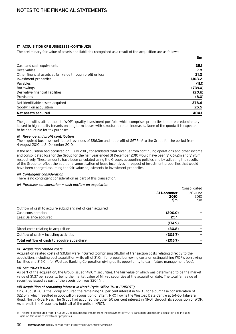# **17 Acquisition of businesses (continued)**

The preliminary fair value of assets and liabilities recognised as a result of the acquisition are as follows:

|                                                             | \$m     |
|-------------------------------------------------------------|---------|
| Cash and cash equivalents                                   | 25.1    |
| Receivables                                                 | 2.8     |
| Other financial assets at fair value through profit or loss | 21.2    |
| Investment properties                                       | 1,108.2 |
| Payables                                                    | (11.1)  |
| <b>Borrowings</b>                                           | (739.0) |
| Derivative financial liabilities                            | (20.6)  |
| Provisions                                                  | (8.0)   |
| Net identifiable assets acquired                            | 378.6   |
| Goodwill on acquisition                                     | 25.5    |
| Net assets acquired                                         | 404.1   |

The goodwill is attributable to WOP's quality investment portfolio which comprises properties that are predominately leased to high quality tenants on long term leases with structured rental increases. None of the goodwill is expected to be deductible for tax purposes.

# ii) Revenue and profit contribution

The acquired business contributed revenues of \$86.3m and net profit of \$67.5m<sup>1</sup> to the Group for the period from 4 August 2010 to 31 December 2010.

If the acquisition had occurred on 1 July 2010, consolidated total revenue from continuing operations and other income and consolidated loss for the Group for the half year ended 31 December 2010 would have been \$1,067.2m and \$19.5m respectively. These amounts have been calculated using the Group's accounting policies and by adjusting the results of the Group to reflect the additional amortisation of lease incentives in respect of investment properties that would have been charged assuming the fair value adjustments to investment properties.

# iii) Contingent consideration

There is no contingent consideration as part of this transaction.

# iv) Purchase consideration — cash outflow on acquisition

|                                                             |                           | Consolidated           |
|-------------------------------------------------------------|---------------------------|------------------------|
|                                                             | 31 December<br>2010<br>Şm | 30 June<br>2010<br>\$m |
| Outflow of cash to acquire subsidiary, net of cash acquired |                           |                        |
| Cash consideration                                          | (200.0)                   |                        |
| Less: Balance acquired                                      | 25.1                      |                        |
|                                                             | (174.9)                   |                        |
| Direct costs relating to acquisition                        | (30.8)                    |                        |
| Outflow of $cash$ – investing activities                    | (205.7)                   |                        |
| Total outflow of cash to acquire subsidiary                 | (205.7)                   |                        |

# v) Acquisition related costs

Acquisition related costs of \$31.8m were incurred (comprising \$16.8m of transaction costs relating directly to the acquisition, including post acquisition write off of \$1.0m for prepaid borrowing costs on extinguishing WOP's borrowing facilities and \$15.0m for Westpac Banking Corporation giving up its opportunity to earn future management fees).

# vi) Securities issued

As part of the acquisition, the Group issued 149.0m securities, the fair value of which was determined to be the market value of \$1.37 per security, being the market value of Mirvac securities at the acquisition date. The total fair value of securities issued as part of the acquisition was \$204.1m.

# vii) Acquisition of remaining interest in North Ryde Office Trust ("NROT")

On 6 August 2010, the Group acquired the remaining 50 per cent interest in NROT, for a purchase consideration of \$22.5m, which resulted in goodwill on acquisition of \$1.2m. NROT owns the Westpac Data Centre at 54-60 Talavera Road, North Ryde, NSW. The Group had acquired the other 50 per cent interest in NROT through its acquisition of WOP. As a result, the Group now holds all of the units in NROT.

1) The profit contributed from 4 August 2010 includes the impact from the repayment of WOP's bank debt facilities on acquisition and includes gain on fair value of investment properties.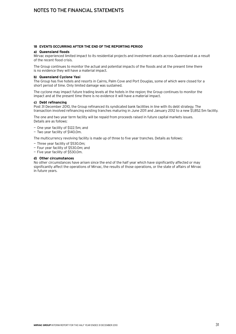# **18 Events occurring after the end of the reporting period**

# **a) Queensland floods**

Mirvac experienced limited impact to its residential projects and investment assets across Queensland as a result of the recent flood crisis.

The Group continues to monitor the actual and potential impacts of the floods and at the present time there is no evidence they will have a material impact.

# **b) Queensland Cyclone Yasi**

The Group has five hotels and resorts in Cairns, Palm Cove and Port Douglas, some of which were closed for a short period of time. Only limited damage was sustained.

The cyclone may impact future trading levels at the hotels in the region; the Group continues to monitor the impact and at the present time there is no evidence it will have a material impact.

# **c) Debt refinancing**

Post 31 December 2010, the Group refinanced its syndicated bank facilities in line with its debt strategy. The transaction involved refinancing existing tranches maturing in June 2011 and January 2012 to a new \$1,852.5m facility.

The one and two year term facility will be repaid from proceeds raised in future capital markets issues. Details are as follows:

- One year facility of \$122.5m; and
- Two year facility of \$140.0m.

The multicurrency revolving facility is made up of three to five year tranches. Details as follows:

- Three year facility of \$530.0m;
- Four year facility of \$530.0m; and
- Five year facility of \$530.0m.

# **d) Other circumstances**

No other circumstances have arisen since the end of the half year which have significantly affected or may significantly affect the operations of Mirvac, the results of those operations, or the state of affairs of Mirvac in future years.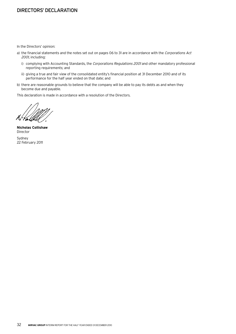# Directors' declaration

In the Directors' opinion:

- a) the financial statements and the notes set out on pages 06 to 31 are in accordance with the Corporations Act 2001, including:
	- i) complying with Accounting Standards, the Corporations Regulations 2001 and other mandatory professional reporting requirements; and
	- ii) giving a true and fair view of the consolidated entity's financial position at 31 December 2010 and of its performance for the half year ended on that date; and
- b) there are reasonable grounds to believe that the company will be able to pay its debts as and when they become due and payable.

This declaration is made in accordance with a resolution of the Directors.

ali

**Nicholas Collishaw** Director

Sydney 22 February 2011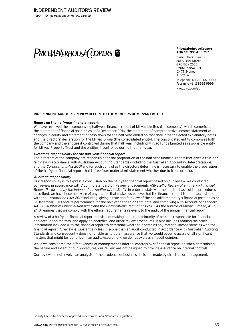REPORT TO THE MEMBERS OF MIRVAC LIMITED

# PRICEWATERHOUSE COPERS &

**PricewaterhouseCoopers ABN 52 780 433 757**

Darling Park Tower 2 201 Sussex Street GPO BOX 2650 SYDNEY NSW 1171 DX 77 Sydney Australia

Telephone +61 2 8266 0000 Facsimile +61 2 8266 9999 www.pwc.com/au

# **Independent auditor's review report to the members of Mirvac Limited**

# **Report on the half-year financial report**

We have reviewed the accompanying half-year financial report of Mirvac Limited (the company), which comprises the statement of financial position as at 31 December 2010, the statement of comprehensive income, statement of changes in equity and statement of cash flows for the half-year ended on that date, other selected explanatory notes and the directors' declaration for the Mirvac Group (the consolidated entity). The consolidated entity comprises both the company and the entities it controlled during that half-year, including Mirvac Funds Limited as responsible entity for Mirvac Property Trust and the entities it controlled during that half-year.

# Directors' responsibility for the half-year financial report

The directors of the company are responsible for the preparation of the half-year financial report that gives a true and fair view in accordance with Australian Accounting Standards (including the Australian Accounting Interpretations) and the Corporations Act 2001 and for such control as the directors determine is necessary to enable the preparation of the half-year financial report that is free from material misstatement whether due to fraud or error.

# Auditor's responsibility

Our responsibility is to express a conclusion on the half-year financial report based on our review. We conducted our review in accordance with Auditing Standard on Review Engagements ASRE 2410 Review of an Interim Financial Report Performed by the Independent Auditor of the Entity, in order to state whether, on the basis of the procedures described, we have become aware of any matter that makes us believe that the financial report is not in accordance with the Corporations Act 2001 including: giving a true and fair view of the consolidated entity's financial position as at 31 December 2010 and its performance for the half-year ended on that date; and complying with Accounting Standard AASB 134 Interim Financial Reporting and the Corporations Regulations 2001. As the auditor of Mirvac Limited, ASRE 2410 requires that we comply with the ethical requirements relevant to the audit of the annual financial report.

A review of a half-year financial report consists of making enquiries, primarily of persons responsible for financial and accounting matters, and applying analytical and other review procedures. It also includes reading the other information included with the financial report to determine whether it contains any material inconsistencies with the financial report. A review is substantially less in scope than an audit conducted in accordance with Australian Auditing Standards and consequently does not enable us to obtain assurance that we would become aware of all significant matters that might be identified in an audit. Accordingly, we do not express an audit opinion.

While we considered the effectiveness of management's internal controls over financial reporting when determining the nature and extent of our procedures, our review was not designed to provide assurance on internal controls.

Our review did not involve an analysis of the prudence of business decisions made by directors or management.